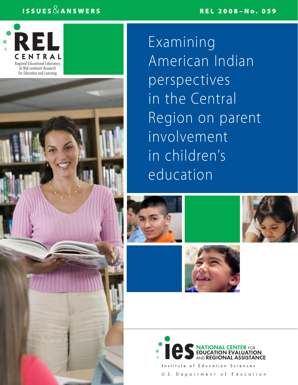## REL 2008–No. 059

## ISSUES  $\&$  ANSWERS



**Examining** American Indian perspectives in the Central Region on parent involvement in children's education









Institute of Education Sciences U.S. Department of Education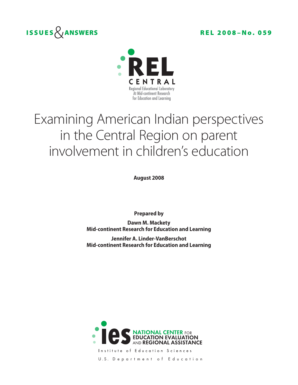



# Examining American Indian perspectives in the Central Region on parent involvement in children's education

**August 2008**

**Prepared by**

**Dawn M. Mackety Mid-continent Research for Education and Learning**

**Jennifer A. Linder-VanBerschot Mid-continent Research for Education and Learning**



Institute of Education Sciences U.S. Department of Education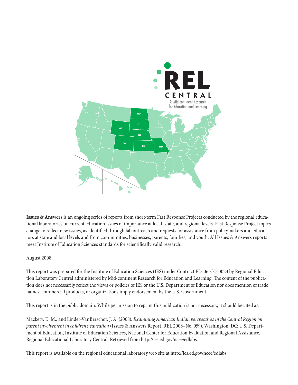

**Issues & Answers** is an ongoing series of reports from short-term Fast Response Projects conducted by the regional educational laboratories on current education issues of importance at local, state, and regional levels. Fast Response Project topics change to reflect new issues, as identified through lab outreach and requests for assistance from policymakers and educators at state and local levels and from communities, businesses, parents, families, and youth. All Issues & Answers reports meet Institute of Education Sciences standards for scientifically valid research.

## August 2008

This report was prepared for the Institute of Education Sciences (IES) under Contract ED-06-CO-0023 by Regional Education Laboratory Central administered by Mid-continent Research for Education and Learning. The content of the publication does not necessarily reflect the views or policies of IES or the U.S. Department of Education nor does mention of trade names, commercial products, or organizations imply endorsement by the U.S. Government.

This report is in the public domain. While permission to reprint this publication is not necessary, it should be cited as:

Mackety, D. M., and Linder-VanBerschot, J. A. (2008). *Examining American Indian perspectives in the Central Region on parent involvement in children's education* (Issues & Answers Report, REL 2008–No. 059). Washington, DC: U.S. Department of Education, Institute of Education Sciences, National Center for Education Evaluation and Regional Assistance, Regional Educational Laboratory Central. Retrieved from http://ies.ed.gov/ncee/edlabs.

This report is available on the regional educational laboratory web site at http://ies.ed.gov/ncee/edlabs.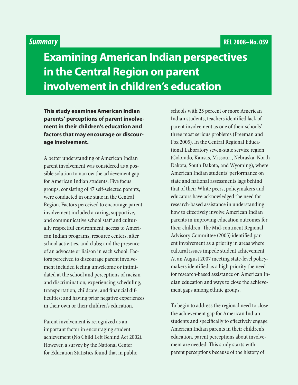## *Summary*

## **Examining American Indian perspectives in the Central Region on parent involvement in children's education**

**This study examines American Indian parents' perceptions of parent involvement in their children's education and factors that may encourage or discourage involvement.**

A better understanding of American Indian parent involvement was considered as a possible solution to narrow the achievement gap for American Indian students. Five focus groups, consisting of 47 self-selected parents, were conducted in one state in the Central Region. Factors perceived to encourage parent involvement included a caring, supportive, and communicative school staff and culturally respectful environment; access to American Indian programs, resource centers, after school activities, and clubs; and the presence of an advocate or liaison in each school. Factors perceived to discourage parent involvement included feeling unwelcome or intimidated at the school and perceptions of racism and discrimination; experiencing scheduling, transportation, childcare, and financial difficulties; and having prior negative experiences in their own or their children's education.

Parent involvement is recognized as an important factor in encouraging student achievement (No Child Left Behind Act 2002). However, a survey by the National Center for Education Statistics found that in public

schools with 25 percent or more American Indian students, teachers identified lack of parent involvement as one of their schools' three most serious problems (Freeman and Fox 2005). In the Central Regional Educational Laboratory seven-state service region (Colorado, Kansas, Missouri, Nebraska, North Dakota, South Dakota, and Wyoming), where American Indian students' performance on state and national assessments lags behind that of their White peers, policymakers and educators have acknowledged the need for research-based assistance in understanding how to effectively involve American Indian parents in improving education outcomes for their children. The Mid-continent Regional Advisory Committee (2005) identified parent involvement as a priority in areas where cultural issues impede student achievement. At an August 2007 meeting state-level policymakers identified as a high priority the need for research-based assistance on American Indian education and ways to close the achievement gaps among ethnic groups.

To begin to address the regional need to close the achievement gap for American Indian students and specifically to effectively engage American Indian parents in their children's education, parent perceptions about involvement are needed. This study starts with parent perceptions because of the history of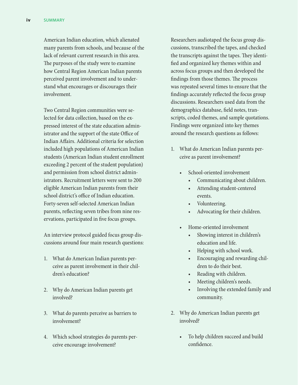American Indian education, which alienated many parents from schools, and because of the lack of relevant current research in this area. The purposes of the study were to examine how Central Region American Indian parents perceived parent involvement and to understand what encourages or discourages their involvement.

Two Central Region communities were selected for data collection, based on the expressed interest of the state education administrator and the support of the state Office of Indian Affairs. Additional criteria for selection included high populations of American Indian students (American Indian student enrollment exceeding 2 percent of the student population) and permission from school district administrators. Recruitment letters were sent to 200 eligible American Indian parents from their school district's office of Indian education. Forty-seven self-selected American Indian parents, reflecting seven tribes from nine reservations, participated in five focus groups.

An interview protocol guided focus group discussions around four main research questions:

- 1. What do American Indian parents perceive as parent involvement in their children's education?
- 2. Why do American Indian parents get involved?
- 3. What do parents perceive as barriers to involvement?
- 4. Which school strategies do parents perceive encourage involvement?

Researchers audiotaped the focus group discussions, transcribed the tapes, and checked the transcripts against the tapes. They identified and organized key themes within and across focus groups and then developed the findings from those themes. The process was repeated several times to ensure that the findings accurately reflected the focus group discussions. Researchers used data from the demographics database, field notes, transcripts, coded themes, and sample quotations. Findings were organized into key themes around the research questions as follows:

- 1. What do American Indian parents perceive as parent involvement?
	- School-oriented involvement
		- Communicating about children.
		- Attending student-centered events.
		- Volunteering.
		- Advocating for their children.
	- Home-oriented involvement
		- Showing interest in children's education and life.
		- Helping with school work.
		- Encouraging and rewarding children to do their best.
		- • Reading with children.
		- Meeting children's needs.
		- Involving the extended family and community.
- 2. Why do American Indian parents get involved?
	- • To help children succeed and build confidence.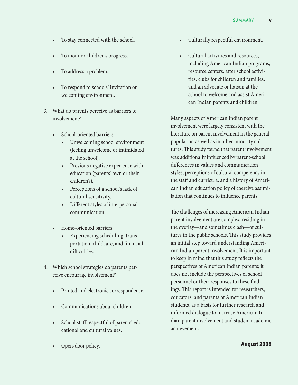- To stay connected with the school.
- • To monitor children's progress.
- To address a problem.
- To respond to schools' invitation or welcoming environment.
- 3. What do parents perceive as barriers to involvement?
	- School-oriented barriers
		- • Unwelcoming school environment (feeling unwelcome or intimidated at the school).
		- Previous negative experience with education (parents' own or their children's).
		- • Perceptions of a school's lack of cultural sensitivity.
		- Different styles of interpersonal communication.
	- • Home-oriented barriers
		- Experiencing scheduling, transportation, childcare, and financial difficulties.
- 4. Which school strategies do parents perceive encourage involvement?
	- • Printed and electronic correspondence.
	- Communications about children.
	- School staff respectful of parents' educational and cultural values.
	- Open-door policy.
- • Culturally respectful environment.
- Cultural activities and resources, including American Indian programs, resource centers, after school activities, clubs for children and families, and an advocate or liaison at the school to welcome and assist American Indian parents and children.

Many aspects of American Indian parent involvement were largely consistent with the literature on parent involvement in the general population as well as in other minority cultures. This study found that parent involvement was additionally influenced by parent-school differences in values and communication styles, perceptions of cultural competency in the staff and curricula, and a history of American Indian education policy of coercive assimilation that continues to influence parents.

The challenges of increasing American Indian parent involvement are complex, residing in the overlay—and sometimes clash—of cultures in the public schools. This study provides an initial step toward understanding American Indian parent involvement. It is important to keep in mind that this study reflects the perspectives of American Indian parents; it does not include the perspectives of school personnel or their responses to these findings. This report is intended for researchers, educators, and parents of American Indian students, as a basis for further research and informed dialogue to increase American Indian parent involvement and student academic achievement.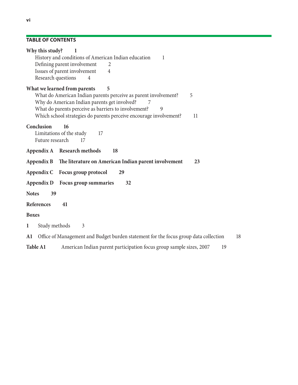## **Table of contents**

| Why this study?<br>1<br>History and conditions of American Indian education<br>1<br>Defining parent involvement<br>2<br>Issues of parent involvement<br>$\overline{4}$                                                                                                                                                        |
|-------------------------------------------------------------------------------------------------------------------------------------------------------------------------------------------------------------------------------------------------------------------------------------------------------------------------------|
| Research questions<br>4<br>What we learned from parents<br>5<br>What do American Indian parents perceive as parent involvement?<br>5<br>Why do American Indian parents get involved?<br>What do parents perceive as barriers to involvement?<br>9<br>Which school strategies do parents perceive encourage involvement?<br>11 |
| Conclusion<br>16<br>Limitations of the study<br>17<br>Future research<br>17                                                                                                                                                                                                                                                   |
| Appendix A Research methods<br>18                                                                                                                                                                                                                                                                                             |
| The literature on American Indian parent involvement<br>Appendix B<br>23                                                                                                                                                                                                                                                      |
| Focus group protocol<br>29<br>Appendix C                                                                                                                                                                                                                                                                                      |
| Focus group summaries<br>32<br>Appendix D                                                                                                                                                                                                                                                                                     |
| <b>Notes</b><br>39                                                                                                                                                                                                                                                                                                            |
| <b>References</b><br>41                                                                                                                                                                                                                                                                                                       |
| <b>Boxes</b>                                                                                                                                                                                                                                                                                                                  |
| Study methods<br>$\mathfrak{Z}$<br>$\mathbf{1}$                                                                                                                                                                                                                                                                               |
| Office of Management and Budget burden statement for the focus group data collection<br>18<br>A1                                                                                                                                                                                                                              |
| American Indian parent participation focus group sample sizes, 2007<br><b>Table A1</b><br>19                                                                                                                                                                                                                                  |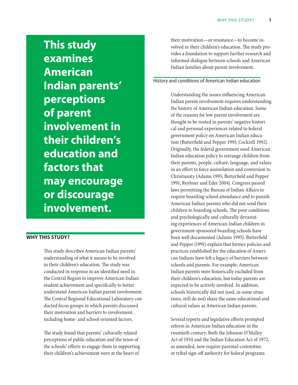**This study examines American Indian parents' perceptions of parent involvement in their children's education and factors that may encourage or discourage involvement.**

#### **Why this study?**

This study describes American Indian parents' understanding of what it means to be involved in their children's education. The study was conducted in response to an identified need in the Central Region to improve American Indian student achievement and specifically to better understand American Indian parent involvement. The Central Regional Educational Laboratory conducted focus groups in which parents discussed their motivation and barriers to involvement, including home- and school-oriented factors.

The study found that parents' culturally related perceptions of public education and the tenor of the schools' efforts to engage them in supporting their children's achievement were at the heart of

their motivation—or resistance—to become involved in their children's education. The study provides a foundation to support further research and informed dialogue between schools and American Indian families about parent involvement.

## History and conditions of American Indian education

Understanding the issues influencing American Indian parent involvement requires understanding the history of American Indian education. Some of the reasons for low parent involvement are thought to be rooted in parents' negative historical and personal experiences related to federal government policy on American Indian education (Butterfield and Pepper 1991; Cockrell 1992). Originally, the federal government used American Indian education policy to estrange children from their parents, people, culture, language, and values in an effort to force assimilation and conversion to Christianity (Adams 1995; Butterfield and Pepper 1991; Reyhner and Eder 2004). Congress passed laws permitting the Bureau of Indian Affairs to require boarding school attendance and to punish American Indian parents who did not send their children to boarding schools. The poor conditions and psychologically and culturally devastating experiences of American Indian children in government-sponsored boarding schools have been well documented (Adams 1995). Butterfield and Pepper (1991) explain that former policies and practices established for the education of American Indians have left a legacy of barriers between schools and parents. For example, American Indian parents were historically excluded from their children's education, but today parents are expected to be actively involved. In addition, schools historically did not (and, in some situations, still do not) share the same educational and cultural values as American Indian parents.

Several reports and legislative efforts prompted reform in American Indian education in the twentieth century. Both the Johnson-O'Malley Act of 1934 and the Indian Education Act of 1972, as amended, now require parental-committee or tribal sign-off authority for federal programs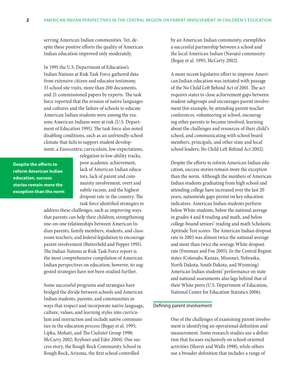serving American Indian communities. Yet, despite these positive efforts the quality of American Indian education improved only moderately.

In 1991 the U.S. Department of Education's Indian Nations at Risk Task Force gathered data from extensive citizen and educator testimony, 33 school site visits, more than 200 documents, and 21 commissioned papers by experts. The task force reported that the erosion of native languages and cultures and the failure of schools to educate American Indian students were among the reasons American Indians were at risk (U.S. Department of Education 1991). The task force also noted disabling conditions, such as an unfriendly school climate that fails to support student development, a Eurocentric curriculum, low expectations,

**Despite the efforts to reform American Indian education, success stories remain more the exception than the norm** relegation to low-ability tracks, poor academic achievement, lack of American Indian educators, lack of parent and community involvement, overt and subtle racism, and the highest dropout rate in the country. The task force identified strategies to

address these challenges, such as improving ways that parents can help their children; strengthening one-on-one relationships between American Indian parents, family members, students, and classroom teachers; and federal legislation to encourage parent involvement (Butterfield and Pepper 1991). The Indian Nations at Risk Task Force report is the most comprehensive compilation of American Indian perspectives on education; however, its suggested strategies have not been studied further.

Some successful programs and strategies have bridged the divide between schools and American Indian students, parents, and communities in ways that respect and incorporate native language, culture, values, and learning styles into curriculum and instruction and include native communities in the education process (Begay et al. 1995; Lipka, Mohatt, and The Ciulistet Group 1998; McCarty 2002; Reyhner and Eder 2004). One success story, the Rough Rock Community School in Rough Rock, Arizona, the first school controlled

by an American Indian community, exemplifies a successful partnership between a school and the local American Indian (Navajo) community (Begay et al. 1995; McCarty 2002).

A more recent legislative effort to improve American Indian education was initiated with passage of the No Child Left Behind Act of 2001. The act requires states to close achievement gaps between student subgroups and encourages parent involvement (for example, by attending parent-teacher conferences, volunteering at school, encouraging other parents to become involved, learning about the challenges and resources of their child's school, and communicating with school board members, principals, and other state and local school leaders; No Child Left Behind Act 2002).

Despite the efforts to reform American Indian education, success stories remain more the exception than the norm. Although the numbers of American Indian students graduating from high school and attending college have increased over the last 20 years, nationwide gaps persist on key education indicators. American Indian students perform below White students, below the national average in grades 4 and 8 reading and math, and below college-bound seniors' reading and math Scholastic Aptitude Test scores. The American Indian dropout rate in 2003 was almost twice the national average and more than twice the average White dropout rate (Freeman and Fox 2005). In the Central Region states (Colorado, Kansas, Missouri, Nebraska, North Dakota, South Dakota, and Wyoming) American Indian students' performance on state and national assessments also lags behind that of their White peers (U.S. Department of Education, National Center for Education Statistics 2006).

#### Defining parent involvement

One of the challenges of examining parent involvement is identifying an operational definition and measurement. Some research studies use a definition that focuses exclusively on school-oriented activities (Shaver and Walls 1998), while others use a broader definition that includes a range of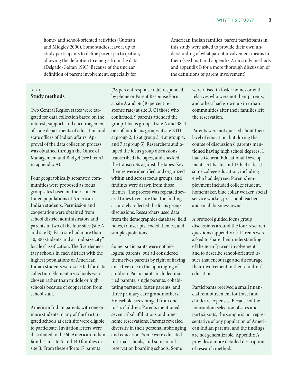home- and school-oriented activities (Gutman and Midgley 2000). Some studies leave it up to study participants to define parent participation, allowing the definition to emerge from the data (Delgado-Gaitan 1991). Because of the unclear definition of parent involvement, especially for

## Box 1 **Study methods**

Two Central Region states were targeted for data collection based on the interest, support, and encouragement of state departments of education and state offices of Indian affairs. Approval of the data collection process was obtained through the Office of Management and Budget (see box A1 in appendix A).

Four geographically separated communities were proposed as focus group sites based on their concentrated populations of American Indian students. Permission and cooperation were obtained from school district administrators and parents in two of the four sites (site A and site B). Each site had more than 10,500 students and a "mid-size city" locale classification. The five elementary schools in each district with the highest populations of American Indian students were selected for data collection. Elementary schools were chosen rather than middle or high schools because of cooperation from school staff.

American Indian parents with one or more students in any of the five targeted schools at each site were eligible to participate. Invitation letters were distributed to the 60 American Indian families in site A and 140 families in site B. From these efforts 17 parents

(28 percent response rate) responded by phone or Parent Response Form at site A and 56 (40 percent response rate) at site B. Of those who confirmed, 9 parents attended the group 1 focus group at site A and 38 at one of four focus groups at site B (11 at group 2, 16 at group 3, 4 at group 4, and 7 at group 5). Researchers audiotaped the focus group discussions, transcribed the tapes, and checked the transcripts against the tapes. Key themes were identified and organized within and across focus groups, and findings were drawn from those themes. The process was repeated several times to ensure that the findings accurately reflected the focus group discussions. Researchers used data from the demographics database, field notes, transcripts, coded themes, and sample quotations.

Some participants were not biological parents, but all considered themselves parents by right of having an active role in the upbringing of children. Participants included married parents, single parents, cohabitating partners, foster parents, and three primary care grandmothers. Household sizes ranged from one to six children. Parents mentioned seven tribal affiliations and nine home reservations. Parents revealed diversity in their personal upbringing and education. Some were educated in tribal schools, and some in offreservation boarding schools. Some

American Indian families, parent participants in this study were asked to provide their own understanding of what parent involvement means to them (see box 1 and appendix A on study methods and appendix B for a more thorough discussion of the definitions of parent involvement).

> were raised in foster homes or with relatives who were not their parents, and others had grown up in urban communities after their families left the reservation.

Parents were not queried about their level of education, but during the course of discussion 6 parents mentioned having high school degrees, 1 had a General Educational Development certificate, and 15 had at least some college education, including 4 who had degrees. Parents' employment included college student, homemaker, blue collar worker, social service worker, preschool teacher, and small business owner.

A protocol guided focus group discussions around the four research questions (appendix C). Parents were asked to share their understanding of the term "parent involvement" and to describe school-oriented issues that encourage and discourage their involvement in their children's education.

Participants received a small financial reimbursement for travel and childcare expenses. Because of the nonrandom selection of sites and participants, the sample is not representative of any population of American Indian parents, and the findings are not generalizable. Appendix A provides a more detailed description of research methods.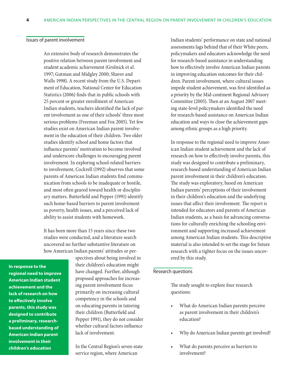#### Issues of parent involvement

An extensive body of research demonstrates the positive relation between parent involvement and student academic achievement (Grolnick et al. 1997; Gutman and Midgley 2000; Shaver and Walls 1998). A recent study from the U.S. Department of Education, National Center for Education Statistics (2006) finds that in public schools with 25 percent or greater enrollment of American Indian students, teachers identified the lack of parent involvement as one of their schools' three most serious problems (Freeman and Fox 2005). Yet few studies exist on American Indian parent involvement in the education of their children. Two older studies identify school and home factors that influence parents' motivation to become involved and underscore challenges to encouraging parent involvement. In exploring school-related barriers to involvement, Cockrell (1992) observes that some parents of American Indian students find communication from schools to be inadequate or hostile, and most often geared toward health or disciplinary matters. Butterfield and Pepper (1991) identify such home-based barriers to parent involvement as poverty, health issues, and a perceived lack of ability to assist students with homework.

It has been more than 15 years since these two studies were conducted, and a literature search uncovered no further substantive literature on how American Indian parents' attitudes or per-

**In response to the regional need to improve American Indian student achievement and the lack of research on how to effectively involve parents, this study was designed to contribute a preliminary, researchbased understanding of American Indian parent involvement in their children's education**

spectives about being involved in their children's education might have changed. Further, although proposed approaches for increasing parent involvement focus primarily on increasing cultural competency in the schools and on educating parents in tutoring their children (Butterfield and Pepper 1991), they do not consider whether cultural factors influence lack of involvement.

In the Central Region's seven-state service region, where American

Indian students' performance on state and national assessments lags behind that of their White peers, policymakers and educators acknowledge the need for research-based assistance in understanding how to effectively involve American Indian parents in improving education outcomes for their children. Parent involvement, where cultural issues impede student achievement, was first identified as a priority by the Mid-continent Regional Advisory Committee (2005). Then at an August 2007 meeting state-level policymakers identified the need for research-based assistance on American Indian education and ways to close the achievement gaps among ethnic groups as a high priority.

In response to the regional need to improve American Indian student achievement and the lack of research on how to effectively involve parents, this study was designed to contribute a preliminary, research-based understanding of American Indian parent involvement in their children's education. The study was exploratory, based on American Indian parents' perceptions of their involvement in their children's education and the underlying issues that affect their involvement. The report is intended for educators and parents of American Indian students, as a basis for advancing conversations for culturally enriching the schooling environment and supporting increased achievement among American Indian students. This descriptive material is also intended to set the stage for future research with a tighter focus on the issues uncovered by this study.

## Research questions

The study sought to explore four research questions:

- What do American Indian parents perceive as parent involvement in their children's education?
- Why do American Indian parents get involved?
- What do parents perceive as barriers to involvement?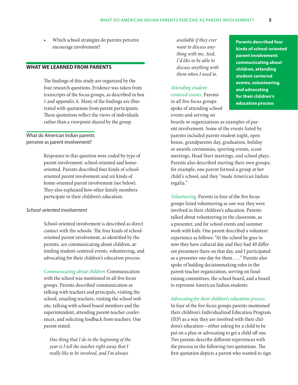Which school strategies do parents perceive encourage involvement?

## **What we learned from parents**

The findings of this study are organized by the four research questions. Evidence was taken from transcripts of the focus groups, as described in box 1 and appendix A. Many of the findings are illustrated with quotations from parent participants. These quotations reflect the views of individuals rather than a viewpoint shared by the group.

## What do American Indian parents perceive as parent involvement?

Responses to this question were coded by type of parent involvement: school-oriented and homeoriented. Parents described four kinds of schooloriented parent involvement and six kinds of home-oriented parent involvement (see below). They also explained how other family members participate in their children's education.

## *School-oriented involvement*

School-oriented involvement is described as direct contact with the schools. The four kinds of schooloriented parent involvement, as identified by the parents, are communicating about children, attending student-centered events, volunteering, and advocating for their children's education process.

*Communicating about children.* Communication with the school was mentioned in all five focus groups. Parents described communication as talking with teachers and principals, visiting the school, emailing teachers, visiting the school web site, talking with school board members and the superintendent, attending parent-teacher conferences, and soliciting feedback from teachers. One parent stated:

*One thing that I do in the beginning of the year is I tell the teacher right away that I really like to be involved, and I'm always* 

*available if they ever want to discuss anything with me. And, I'd like to be able to discuss anything with them when I need to.*

## *Attending studentcentered events.* Parents

in all five focus groups spoke of attending school events and serving on

**Parents described four kinds of school-oriented parent involvement: communicating about children, attending student-centered events, volunteering, and advocating for their children's education process**

boards or organizations as examples of parent involvement. Some of the events listed by parents included parent-student night, open house, grandparents day, graduation, holiday or awards ceremonies, sporting events, scout meetings, Head Start meetings, and school plays. Parents also described starting their own groups; for example, one parent formed a group at her child's school, and they "made American Indian regalia."

*Volunteering.* Parents in four of the five focus groups listed volunteering as one way they were involved in their children's education. Parents talked about volunteering in the classroom, as a presenter, and for school events and summer work with kids. One parent described a volunteer experience as follows: "At the school he goes to now they have cultural day and they had 40 different presenters there on that day, and I participated as a presenter one day for them. . . ." Parents also spoke of holding decisionmaking roles in the parent-teacher organization, serving on fundraising committees, the school board, and a board to represent American Indian students.

#### *Advocating for their children's education process.*

In four of the five focus groups parents mentioned their children's Individualized Education Program (IEP) as a way they are involved with their children's education—either asking for a child to be put on a plan or advocating to get a child off one. Two parents describe different experiences with the process in the following two quotations. The first quotation depicts a parent who wanted to sign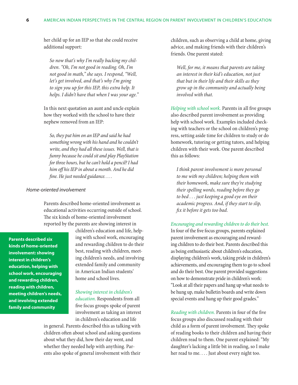her child up for an IEP so that she could receive additional support:

*So now that's why I'm really backing my children. "Oh, I'm not good in reading. Oh, I'm not good in math," she says. I respond, "Well, let's get involved, and that's why I'm going to sign you up for this IEP, this extra help. It helps. I didn't have that when I was your age."*

In this next quotation an aunt and uncle explain how they worked with the school to have their nephew removed from an IEP:

*So, they put him on an IEP and said he had something wrong with his hand and he couldn't write, and they had all these issues. Well, that is funny because he could sit and play PlayStation for three hours, but he can't hold a pencil? I had him off his IEP in about a month. And he did fine. He just needed guidance. . . .*

## *Home-oriented involvement*

Parents described home-oriented involvement as educational activities occurring outside of school. The six kinds of home-oriented involvement reported by the parents are showing interest in

**Parents described six kinds of home-oriented involvement: showing interest in children's education, helping with school work, encouraging and rewarding children, reading with children, meeting children's needs, and involving extended family and community**

children's education and life, helping with school work, encouraging and rewarding children to do their best, reading with children, meeting children's needs, and involving extended family and community in American Indian students' home and school lives.

#### *Showing interest in children's*

*education.* Respondents from all five focus groups spoke of parent involvement as taking an interest in children's education and life

in general. Parents described this as talking with children often about school and asking questions about what they did, how their day went, and whether they needed help with anything. Parents also spoke of general involvement with their children, such as observing a child at home, giving advice, and making friends with their children's friends. One parent stated:

*Well, for me, it means that parents are taking an interest in their kid's education, not just that but in their life and their skills as they grow up in the community and actually being involved with that.*

*Helping with school work.* Parents in all five groups also described parent involvement as providing help with school work. Examples included checking with teachers or the school on children's progress, setting aside time for children to study or do homework, tutoring or getting tutors, and helping children with their work. One parent described this as follows:

*I think parent involvement is more personal to me with my children; helping them with their homework, make sure they're studying their spelling words, reading before they go to bed . . . just keeping a good eye on their academic progress. And, if they start to slip, fix it before it gets too bad.*

#### *Encouraging and rewarding children to do their best.*

In four of the five focus groups, parents explained parent involvement as encouraging and rewarding children to do their best. Parents described this as being enthusiastic about children's education, displaying children's work, taking pride in children's achievements, and encouraging them to go to school and do their best. One parent provided suggestions on how to demonstrate pride in children's work: "Look at all their papers and hang up what needs to be hung up, make bulletin boards and write down special events and hang up their good grades."

*Reading with children.* Parents in four of the five focus groups also discussed reading with their child as a form of parent involvement. They spoke of reading books to their children and having their children read to them. One parent explained: "My daughter's lacking a little bit in reading, so I make her read to me. . . . Just about every night too.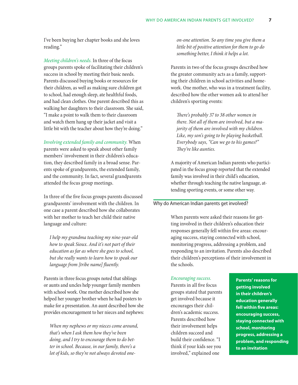I've been buying her chapter books and she loves reading."

*Meeting children's needs.* In three of the focus groups parents spoke of facilitating their children's success in school by meeting their basic needs. Parents discussed buying books or resources for their children, as well as making sure children got to school, had enough sleep, ate healthful foods, and had clean clothes. One parent described this as walking her daughters to their classroom. She said, "I make a point to walk them to their classroom and watch them hang up their jacket and visit a little bit with the teacher about how they're doing."

*Involving extended family and community.* When parents were asked to speak about other family members' involvement in their children's education, they described family in a broad sense. Parents spoke of grandparents, the extended family, and the community. In fact, several grandparents attended the focus group meetings.

In three of the five focus groups parents discussed grandparents' involvement with the children. In one case a parent described how she collaborates with her mother to teach her child their native language and culture:

*I help my grandma teaching my nine-year-old how to speak Sioux. And it's not part of their education as far as where she goes to school, but she really wants to learn how to speak our language from [tribe name] fluently.*

Parents in three focus groups noted that siblings or aunts and uncles help younger family members with school work. One mother described how she helped her younger brother when he had posters to make for a presentation. An aunt described how she provides encouragement to her nieces and nephews:

*When my nephews or my nieces come around, that's when I ask them how they've been doing, and I try to encourage them to do better in school. Because, in our family, there's a lot of kids, so they're not always devoted one-* *on-one attention. So any time you give them a little bit of positive attention for them to go do something better, I think it helps a lot.*

Parents in two of the focus groups described how the greater community acts as a family, supporting their children in school activities and homework. One mother, who was in a treatment facility, described how the other women ask to attend her children's sporting events:

*There's probably 37 to 38 other women in there. Not all of them are involved, but a majority of them are involved with my children. Like, my son's going to be playing basketball. Everybody says, "Can we go to his games?" They're like aunties.*

A majority of American Indian parents who participated in the focus group reported that the extended family was involved in their child's education, whether through teaching the native language, attending sporting events, or some other way.

## Why do American Indian parents get involved?

When parents were asked their reasons for getting involved in their children's education their responses generally fell within five areas: encouraging success, staying connected with school, monitoring progress, addressing a problem, and responding to an invitation. Parents also described their children's perceptions of their involvement in the schools.

#### *Encouraging success.*

Parents in all five focus groups stated that parents get involved because it encourages their children's academic success. Parents described how their involvement helps children succeed and build their confidence. "I think if your kids see you involved," explained one

**Parents' reasons for getting involved in their children's education generally fell within five areas: encouraging success, staying connected with school, monitoring progress, addressing a problem, and responding to an invitation**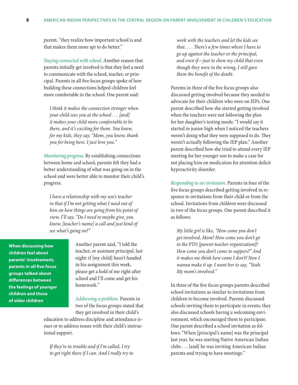parent, "they realize how important school is and that makes them more apt to do better."

*Staying connected with school.* Another reason that parents initially get involved is that they feel a need to communicate with the school, teacher, or principal. Parents in all five focus groups spoke of how building these connections helped children feel more comfortable in the school. One parent said:

*I think it makes the connection stronger when your child sees you at the school . . . [and] it makes your child more comfortable to be there, and it's exciting for them. You know, for my kids, they say, "Mom, you know, thank you for being here. I just love you."*

*Monitoring progress.* By establishing connections between home and school, parents felt they had a better understanding of what was going on in the school and were better able to monitor their child's progress.

*I have a relationship with my son's teacher in that if I'm not getting what I need out of him on how things are going from his point of view, I'll say, "Do I need to maybe give, you know, [teacher's name] a call and just kind of see what's going on?"*

**When discussing how children feel about parents' involvement, parents in all five focus groups talked about differences between the feelings of younger children and those of older children**

Another parent said, "I told the teacher, or assistant principal, last night: if [my child] hasn't handed in his assignment this week, please get a hold of me right after school and I'll come and get his homework."

*Addressing a problem.* Parents in two of the focus groups stated that they get involved in their child's

education to address discipline and attendance issues or to address issues with their child's instructional support.

*If they're in trouble and if I'm called, I try to get right there if I can. And I really try to* 

*work with the teachers and let the kids see that. . . . There's a few times where I have to go up against the teacher or the principal, and even if—just to show my child that even though they were in the wrong, I still gave them the benefit of the doubt.*

Parents in three of the five focus groups also discussed getting involved because they needed to advocate for their children who were on IEPs. One parent described how she started getting involved when the teachers were not following the plan for her daughter's testing needs: "I would say it started in junior high when I noticed the teachers weren't doing what they were supposed to do. They weren't actually following the IEP plan." Another parent described how she tried to attend every IEP meeting for her younger son to make a case for not placing him on medication for attention deficit hyperactivity disorder.

*Responding to an invitation.* Parents in four of the five focus groups described getting involved in response to invitations from their child or from the school. Invitations from children were discussed in two of the focus groups. One parent described it as follows:

*My little girl is like, "How come you don't get involved, Mom? How come you don't go to the PTO [parent-teacher organization]? How come you don't come to suppers?" And it makes me think how come I don't? Now I wanna make it up. I want her to say, "Yeah. My mom's involved."*

In three of the five focus groups parents described school invitations as similar to invitations from children to become involved. Parents discussed schools inviting them to participate in events; they also discussed schools having a welcoming environment, which encouraged them to participate. One parent described a school invitation as follows: "When [principal's name] was the principal last year, he was starting Native American Indian clubs . . . [and] he was inviting American Indian parents and trying to have meetings."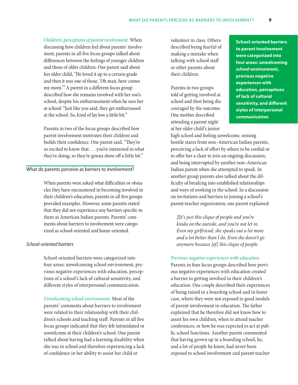*Children's perceptions of parent involvement.* When discussing how children feel about parents' involvement, parents in all five focus groups talked about differences between the feelings of younger children and those of older children. One parent said about her older child, "He loved it up to a certain grade and then it was one of those, 'Oh man, here comes my mom.'" A parent in a different focus group described how she remains involved with her son's school, despite his embarrassment when he sees her at school: "Just like you said, they get embarrassed at the school. So, kind of lay low a little bit."

Parents in two of the focus groups described how parent involvement motivates their children and builds their confidence. One parent said, "They're so excited to know that . . . you're interested in what they're doing, so they're gonna show off a little bit."

#### What do parents perceive as barriers to involvement?

When parents were asked what difficulties or obstacles they have encountered in becoming involved in their children's education, parents in all five groups provided examples. However, some parents stated that they did not experience any barriers specific to them as American Indian parents. Parents' comments about barriers to involvement were categorized as school-oriented and home-oriented.

## *School-oriented barriers*

School-oriented barriers were categorized into four areas: unwelcoming school environment, previous negative experiences with education, perceptions of a school's lack of cultural sensitivity, and different styles of interpersonal communication.

*Unwelcoming school environment.* Most of the parents' comments about barriers to involvement were related to their relationship with their children's schools and teaching staff. Parents in all five focus groups indicated that they felt intimidated or unwelcome at their children's school. One parent talked about having had a learning disability when she was in school and therefore experiencing a lack of confidence in her ability to assist her child or

volunteer in class. Others described being fearful of making a mistake when talking with school staff or other parents about their children.

Parents in two groups told of getting involved at school and then being discouraged by the outcome. One mother described attending a parent night at her older child's junior

**School-oriented barriers to parent involvement were categorized into four areas: unwelcoming school environment, previous negative experiences with education, perceptions of lack of cultural sensitivity, and different styles of interpersonal communication**

high school and feeling unwelcome, sensing hostile stares from non–American Indian parents, perceiving a lack of effort by others to be cordial or to offer her a chair to join an ongoing discussion, and being interrupted by another non–American Indian parent when she attempted to speak. In another group parents also talked about the difficulty of breaking into established relationships and ways of working in the school. In a discussion on invitations and barriers to joining a school's parent-teacher organization, one parent explained:

*[I]t's just this clique of people and you're kinda on the outside, and you're not let in. Even my girlfriend, she speaks out a lot more and a lot better than I do. Even she doesn't go anymore because [of] this clique of people.*

#### *Previous negative experiences with education.*

Parents in four focus groups described how previous negative experiences with education created a barrier to getting involved in their children's education. One couple described their experiences of being raised in a boarding school and in foster care, where they were not exposed to good models of parent involvement in education. The father explained that he therefore did not know how to assist his own children, when to attend teacher conferences, or how he was expected to act at public school functions. Another parent commented that having grown up in a boarding school, he, and a lot of people he knew, had never been exposed to school involvement and parent-teacher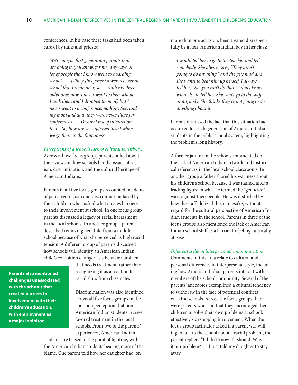conferences. In his case these tasks had been taken care of by nuns and priests:

*We're maybe first generation parents that are doing it, you know, for me, anyways. A lot of people that I know went to boarding school. . . . [T]hey [his parents] weren't ever at school that I remember, so . . . with my three older ones now, I never went to their school. I took them and I dropped them off, but I never went to a conference, nothing. See, and my mom and dad, they were never there for conferences. . . . Or any kind of interaction there. So, how are we supposed to act when we go there to the functions?*

#### *Perceptions of a school's lack of cultural sensitivity.*

Across all five focus groups parents talked about their views on how schools handle issues of racism, discrimination, and the cultural heritage of American Indians.

Parents in all five focus groups recounted incidents of perceived racism and discrimination faced by their children when asked what creates barriers to their involvement at school. In one focus group parents discussed a legacy of racial harassment in the local schools. In another group a parent described removing her child from a middle school because of what she perceived as high racial tension. A different group of parents discussed how schools will identify an American Indian child's exhibition of anger as a behavior problem

**Parents also mentioned challenges unassociated with the schools that created barriers to involvement with their children's education, with employment as a major inhibitor**

that needs treatment, rather than recognizing it as a reaction to racial slurs from classmates.

Discrimination was also identified across all five focus groups in the common perception that non– American Indian students receive favored treatment in the local schools. From two of the parents' experiences, American Indian

students are teased to the point of fighting, with the American Indian students bearing more of the blame. One parent told how her daughter had, on

more than one occasion, been treated disrespectfully by a non–American Indian boy in her class:

*I would tell her to go to the teacher and tell somebody. She always says, "They aren't going to do anything," and she gets mad and she wants to beat him up herself. I always tell her, "No, you can't do that." I don't know what else to tell her. She won't go to the staff or anybody. She thinks they're not going to do anything about it.*

Parents discussed the fact that this situation had occurred for each generation of American Indian students in the public school system, highlighting the problem's long history.

A former janitor in the schools commented on the lack of American Indian artwork and historical references in the local school classrooms. In another group a father shared his wariness about his children's school because it was named after a leading figure in what he termed the "genocide" wars against their people. He was disturbed by how the staff idolized this namesake, without regard for the cultural perspective of American Indian students in the school. Parents in three of the focus groups also mentioned the lack of American Indian school staff as a barrier to feeling culturally at ease.

#### *Different styles of interpersonal communication.*

Comments in this area relate to cultural and personal differences in interpersonal style, including how American Indian parents interact with members of the school community. Several of the parents' anecdotes exemplified a cultural tendency to withdraw in the face of potential conflicts with the schools. Across the focus groups there were parents who said that they encouraged their children to solve their own problems at school, effectively sidestepping involvement. When the focus group facilitator asked if a parent was willing to talk to the school about a racial problem, the parent replied, "I didn't know if I should. Why is it our problem? . . . I just told my daughter to stay away."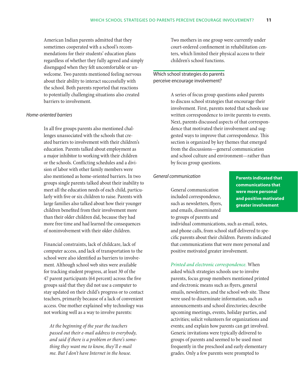American Indian parents admitted that they sometimes cooperated with a school's recommendations for their students' education plans regardless of whether they fully agreed and simply disengaged when they felt uncomfortable or unwelcome. Two parents mentioned feeling nervous about their ability to interact successfully with the school. Both parents reported that reactions to potentially challenging situations also created barriers to involvement.

## *Home-oriented barriers*

In all five groups parents also mentioned challenges unassociated with the schools that created barriers to involvement with their children's education. Parents talked about employment as a major inhibitor to working with their children or the schools. Conflicting schedules and a division of labor with other family members were also mentioned as home-oriented barriers. In two groups single parents talked about their inability to meet all the education needs of each child, particularly with five or six children to raise. Parents with large families also talked about how their younger children benefited from their involvement more than their older children did, because they had more free time and had learned the consequences of noninvolvement with their older children.

Financial constraints, lack of childcare, lack of computer access, and lack of transportation to the school were also identified as barriers to involvement. Although school web sites were available for tracking student progress, at least 30 of the 47 parent participants (64 percent) across the five groups said that they did not use a computer to stay updated on their child's progress or to contact teachers, primarily because of a lack of convenient access. One mother explained why technology was not working well as a way to involve parents:

*At the beginning of the year the teachers passed out their e-mail address to everybody, and said if there is a problem or there's something they want me to know, they'll e-mail me. But I don't have Internet in the house.*

Two mothers in one group were currently under court-ordered confinement in rehabilitation centers, which limited their physical access to their children's school functions.

## Which school strategies do parents perceive encourage involvement?

A series of focus group questions asked parents to discuss school strategies that encourage their involvement. First, parents noted that schools use written correspondence to invite parents to events. Next, parents discussed aspects of that correspondence that motivated their involvement and suggested ways to improve that correspondence. This section is organized by key themes that emerged from the discussions—general communication and school culture and environment—rather than by focus group questions.

## *General communication*

General communication included correspondence, such as newsletters, flyers, and emails, disseminated to groups of parents and

**Parents indicated that communications that were more personal and positive motivated greater involvement**

individual communications, such as email, notes, and phone calls, from school staff delivered to specific parents about their children. Parents indicated that communications that were more personal and positive motivated greater involvement.

*Printed and electronic correspondence.* When asked which strategies schools use to involve parents, focus group members mentioned printed and electronic means such as flyers, general emails, newsletters, and the school web site. These were used to disseminate information, such as announcements and school directories; describe upcoming meetings, events, holiday parties, and activities; solicit volunteers for organizations and events; and explain how parents can get involved. Generic invitations were typically delivered to groups of parents and seemed to be used most frequently in the preschool and early elementary grades. Only a few parents were prompted to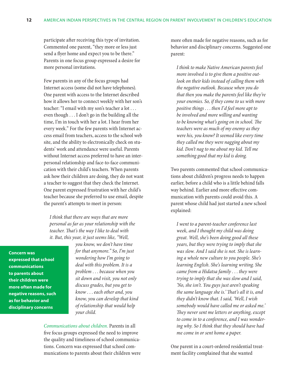participate after receiving this type of invitation. Commented one parent, "they more or less just send a flyer home and expect you to be there." Parents in one focus group expressed a desire for more personal invitations.

Few parents in any of the focus groups had Internet access (some did not have telephones). One parent with access to the Internet described how it allows her to connect weekly with her son's teacher: "I email with my son's teacher a lot . . . even though . . . I don't go in the building all the time, I'm in touch with her a lot. I hear from her every week." For the few parents with Internet access email from teachers, access to the school web site, and the ability to electronically check on students' work and attendance were useful. Parents without Internet access preferred to have an interpersonal relationship and face-to-face communication with their child's teachers. When parents ask how their children are doing, they do not want a teacher to suggest that they check the Internet. One parent expressed frustration with her child's teacher because she preferred to use email, despite the parent's attempts to meet in person:

*I think that there are ways that are more personal as far as your relationship with the teacher. That's the way I like to deal with it. But, this year, it just seems like, "Well,* 

**Concern was expressed that school communications to parents about their children were more often made for negative reasons, such as for behavior and disciplinary concerns**

*you know, we don't have time for that anymore." So, I'm just wondering how I'm going to deal with this problem. It is a problem* . . . *because when you sit down and visit, you not only discuss grades, but you get to know* . . . *each other and, you know, you can develop that kind of relationship that would help your child.*

*Communications about children.* Parents in all five focus groups expressed the need to improve the quality and timeliness of school communications. Concern was expressed that school communications to parents about their children were more often made for negative reasons, such as for behavior and disciplinary concerns. Suggested one parent:

*I think to make Native American parents feel more involved is to give them a positive outlook on their kids instead of calling them with the negative outlook. Because when you do that then you make the parents feel like they're your enemies. So, if they come to us with more positive things* . . . *then I'd feel more apt to be involved and more willing and wanting to be knowing what's going on in school. The teachers were as much of my enemy as they were his, you know? It seemed like every time they called me they were nagging about my kid. Don't nag to me about my kid. Tell me something good that my kid is doing.*

Two parents commented that school communications about children's progress needs to happen earlier, before a child who is a little behind falls way behind. Earlier and more effective communication with parents could avoid this. A parent whose child had just started a new school explained:

*I went to a parent-teacher conference last week, and I thought my child was doing great. Well, she's been doing good all these years, but they were trying to imply that she was slow. And I said she is not. She is learning a whole new culture to you people. She's learning English. She's learning writing. She came from a Hidatsa family* . . . *they were trying to imply that she was slow and I said, 'No, she isn't. You guys just aren't speaking the same language she is.' That's all it is, and they didn't know that. I said, 'Well, I wish somebody would have called me or asked me.' They never sent me letters or anything, except to come in to a conference, and I was wondering why. So I think that they should have had me come in or sent home a paper.* 

One parent in a court-ordered residential treatment facility complained that she wanted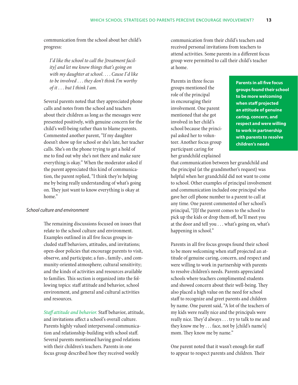communication from the school about her child's progress:

*I'd like the school to call the [treatment facility] and let me know things that's going on with my daughter at school.* . . . *Cause I'd like to be involved* . . . *they don't think I'm worthy of it* . . . *but I think I am.*

Several parents noted that they appreciated phone calls and notes from the school and teachers about their children as long as the messages were presented positively, with genuine concern for the child's well-being rather than to blame parents. Commented another parent, "If my daughter doesn't show up for school or she's late, her teacher calls. She's on the phone trying to get a hold of me to find out why she's not there and make sure everything is okay." When the moderator asked if the parent appreciated this kind of communication, the parent replied, "I think they're helping me by being really understanding of what's going on. They just want to know everything is okay at home."

#### *School culture and environment*

The remaining discussions focused on issues that relate to the school culture and environment. Examples outlined in all five focus groups included staff behaviors, attitudes, and invitations; open-door policies that encourage parents to visit, observe, and participate; a fun-, family-, and community-oriented atmosphere; cultural sensitivity; and the kinds of activities and resources available to families. This section is organized into the following topics: staff attitude and behavior, school environment, and general and cultural activities and resources.

*Staff attitude and behavior.* Staff behavior, attitude, and invitations affect a school's overall culture. Parents highly valued interpersonal communication and relationship-building with school staff. Several parents mentioned having good relations with their children's teachers. Parents in one focus group described how they received weekly

communication from their child's teachers and received personal invitations from teachers to attend activities. Some parents in a different focus group were permitted to call their child's teacher at home.

Parents in three focus groups mentioned the role of the principal in encouraging their involvement. One parent mentioned that she got involved in her child's school because the principal asked her to volunteer. Another focus group participant caring for her grandchild explained

**Parents in all five focus groups found their school to be more welcoming when staff projected an attitude of genuine caring, concern, and respect and were willing to work in partnership with parents to resolve children's needs**

that communication between her grandchild and the principal (at the grandmother's request) was helpful when her grandchild did not want to come to school. Other examples of principal involvement and communication included one principal who gave her cell phone number to a parent to call at any time. One parent commented of her school's principal, "[I]f the parent comes to the school to pick up the kids or drop them off, he'll meet you at the door and tell you . . . what's going on, what's happening in school."

Parents in all five focus groups found their school to be more welcoming when staff projected an attitude of genuine caring, concern, and respect and were willing to work in partnership with parents to resolve children's needs. Parents appreciated schools where teachers complimented students and showed concern about their well-being. They also placed a high value on the need for school staff to recognize and greet parents and children by name. One parent said, "A lot of the teachers of my kids were really nice and the principals were really nice. They'd always . . . try to talk to me and they know me by . . . face, not by [child's name's] mom. They know me by name."

One parent noted that it wasn't enough for staff to appear to respect parents and children. Their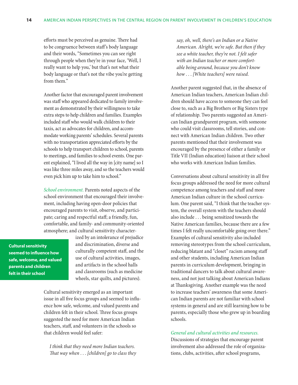efforts must be perceived as genuine. There had to be congruence between staff's body language and their words, "Sometimes you can see right through people when they're in your face, 'Well, I really want to help you,' but that's not what their body language or that's not the vibe you're getting from them."

Another factor that encouraged parent involvement was staff who appeared dedicated to family involvement as demonstrated by their willingness to take extra steps to help children and families. Examples included staff who would walk children to their taxis, act as advocates for children, and accommodate working parents' schedules. Several parents with no transportation appreciated efforts by the schools to help transport children to school, parents to meetings, and families to school events. One parent explained, "I lived all the way in [city name] so I was like three miles away, and so the teachers would even pick him up to take him to school."

*School environment.* Parents noted aspects of the school environment that encouraged their involvement, including having open-door policies that encouraged parents to visit, observe, and participate; caring and respectful staff; a friendly, fun, comfortable, and family- and community-oriented atmosphere; and cultural sensitivity character-

**Cultural sensitivity seemed to influence how safe, welcome, and valued parents and children felt in their school**

ized by an intolerance of prejudice and discrimination, diverse and culturally competent staff, and the use of cultural activities, images, and artifacts in the school halls and classrooms (such as medicine wheels, star quilts, and pictures).

Cultural sensitivity emerged as an important issue in all five focus groups and seemed to influence how safe, welcome, and valued parents and children felt in their school. Three focus groups suggested the need for more American Indian teachers, staff, and volunteers in the schools so that children would feel safer:

*I think that they need more Indian teachers. That way when* . . . *[children] go to class they*  *say, oh, well, there's an Indian or a Native American. Alright, we're safe. But then if they see a white teacher, they're not. I felt safer with an Indian teacher or more comfortable being around, because you don't know how* . . . *[White teachers] were raised.*

Another parent suggested that, in the absence of American Indian teachers, American Indian children should have access to someone they can feel close to, such as a Big Brothers or Big Sisters type of relationship. Two parents suggested an American Indian grandparent program, with someone who could visit classrooms, tell stories, and connect with American Indian children. Two other parents mentioned that their involvement was encouraged by the presence of either a family or Title VII (Indian education) liaison at their school who works with American Indian families.

Conversations about cultural sensitivity in all five focus groups addressed the need for more cultural competence among teachers and staff and more American Indian culture in the school curriculum. One parent said, "I think that the teacher system, the overall system with the teachers should also include . . . being sensitized towards the Native American families, because there are a few times I felt really uncomfortable going over there." Examples of cultural sensitivity also included removing stereotypes from the school curriculum, reducing blatant and "closet" racism among staff and other students, including American Indian parents in curriculum development, bringing in traditional dancers to talk about cultural awareness, and not just talking about American Indians at Thanksgiving. Another example was the need to increase teachers' awareness that some American Indian parents are not familiar with school systems in general and are still learning how to be parents, especially those who grew up in boarding schools.

#### *General and cultural activities and resources.*

Discussions of strategies that encourage parent involvement also addressed the role of organizations, clubs, activities, after school programs,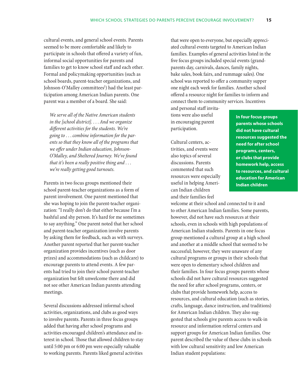cultural events, and general school events. Parents seemed to be more comfortable and likely to participate in schools that offered a variety of fun, informal social opportunities for parents and families to get to know school staff and each other. Formal and policymaking opportunities (such as school boards, parent-teacher organizations, and Johnson-O'Malley committees<sup>1</sup>) had the least participation among American Indian parents. One parent was a member of a board. She said:

*We serve all of the Native American students in the [school district].* . . . *And we organize different activities for the students. We're going to* . . . *combine information for the parents so that they know all of the programs that we offer under Indian education, Johnson-O'Malley, and Sheltered Journey. We've found that it's been a really positive thing and* . . . *we're really getting good turnouts.*

Parents in two focus groups mentioned their school parent-teacher organizations as a form of parent involvement. One parent mentioned that she was hoping to join the parent-teacher organization: "I really don't do that either because I'm a bashful and shy person. It's hard for me sometimes to say anything." One parent noted that her school and parent-teacher organization involve parents by asking them for feedback, such as with surveys. Another parent reported that her parent-teacher organization provides incentives (such as door prizes) and accommodations (such as childcare) to encourage parents to attend events. A few parents had tried to join their school parent-teacher organization but felt unwelcome there and did not see other American Indian parents attending meetings.

Several discussions addressed informal school activities, organizations, and clubs as good ways to involve parents. Parents in three focus groups added that having after school programs and activities encouraged children's attendance and interest in school. Those that allowed children to stay until 5:00 pm or 6:00 pm were especially valuable to working parents. Parents liked general activities

that were open to everyone, but especially appreciated cultural events targeted to American Indian families. Examples of general activities listed in the five focus groups included special events (grandparents day, carnivals, dances, family nights, bake sales, book fairs, and rummage sales). One school was reported to offer a community supper one night each week for families. Another school offered a resource night for families to inform and connect them to community services. Incentives

and personal staff invitations were also useful in encouraging parent participation.

Cultural centers, activities, and events were also topics of several discussions. Parents commented that such resources were especially useful in helping American Indian children and their families feel

**In four focus groups parents whose schools did not have cultural resources suggested the need for after school programs, centers, or clubs that provide homework help, access to resources, and cultural education for American Indian children**

welcome at their school and connected to it and to other American Indian families. Some parents, however, did not have such resources at their schools, even in schools with high populations of American Indian students. Parents in one focus group mentioned a cultural group at a high school and another at a middle school that seemed to be successful; however, they were unaware of any cultural programs or groups in their schools that were open to elementary school children and their families. In four focus groups parents whose schools did not have cultural resources suggested the need for after school programs, centers, or clubs that provide homework help, access to resources, and cultural education (such as stories, crafts, language, dance instruction, and traditions) for American Indian children. They also suggested that schools give parents access to walk-in resource and information referral centers and support groups for American Indian families. One parent described the value of these clubs in schools with low cultural sensitivity and low American Indian student populations: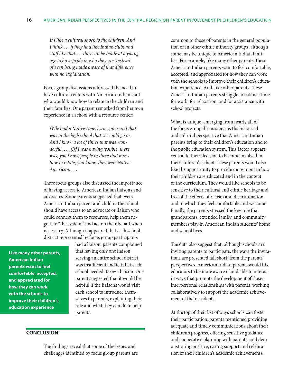*It's like a cultural shock to the children. And I think* . . . *if they had like Indian clubs and stuff like that* . . . *they can be made at a young age to have pride in who they are, instead of even being made aware of that difference with no explanation.*

Focus group discussions addressed the need to have cultural centers with American Indian staff who would know how to relate to the children and their families. One parent remarked from her own experience in a school with a resource center:

*[W]e had a Native American center and that was in the high school that we could go to. And I know a lot of times that was wonderful.* . . . *[I]f I was having trouble, there was, you know, people in there that knew how to relate, you know, they were Native American.* . . .

Three focus groups also discussed the importance of having access to American Indian liaisons and advocates. Some parents suggested that every American Indian parent and child in the school should have access to an advocate or liaison who could connect them to resources, help them negotiate "the system," and act on their behalf when necessary. Although it appeared that each school district represented by focus group participants

**Like many other parents, American Indian parents want to feel comfortable, accepted, and appreciated for how they can work with the schools to improve their children's education experience**

had a liaison, parents complained that having only one liaison serving an entire school district was insufficient and felt that each school needed its own liaison. One parent suggested that it would be helpful if the liaisons would visit each school to introduce themselves to parents, explaining their role and what they can do to help parents.

## **Conclusion**

The findings reveal that some of the issues and challenges identified by focus group parents are common to those of parents in the general population or in other ethnic minority groups, although some may be unique to American Indian families. For example, like many other parents, these American Indian parents want to feel comfortable, accepted, and appreciated for how they can work with the schools to improve their children's education experience. And, like other parents, these American Indian parents struggle to balance time for work, for relaxation, and for assistance with school projects.

What is unique, emerging from nearly all of the focus group discussions, is the historical and cultural perspective that American Indian parents bring to their children's education and to the public education system. This factor appears central to their decision to become involved in their children's school. These parents would also like the opportunity to provide more input in how their children are educated and in the content of the curriculum. They would like schools to be sensitive to their cultural and ethnic heritage and free of the effects of racism and discrimination and in which they feel comfortable and welcome. Finally, the parents stressed the key role that grandparents, extended family, and community members play in American Indian students' home and school lives.

The data also suggest that, although schools are inviting parents to participate, the ways the invitations are presented fall short, from the parents' perspectives. American Indian parents would like educators to be more aware of and able to interact in ways that promote the development of closer interpersonal relationships with parents, working collaboratively to support the academic achievement of their students.

At the top of their list of ways schools can foster their participation, parents mentioned providing adequate and timely communications about their children's progress, offering sensitive guidance and cooperative planning with parents, and demonstrating positive, caring support and celebration of their children's academic achievements.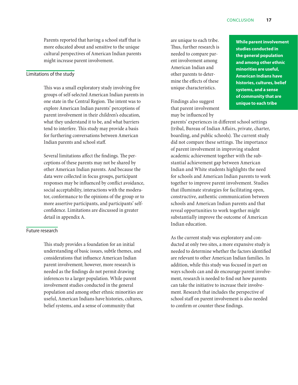Parents reported that having a school staff that is more educated about and sensitive to the unique cultural perspectives of American Indian parents might increase parent involvement.

## Limitations of the study

This was a small exploratory study involving five groups of self-selected American Indian parents in one state in the Central Region. The intent was to explore American Indian parents' perceptions of parent involvement in their children's education, what they understand it to be, and what barriers tend to interfere. This study may provide a basis for furthering conversations between American Indian parents and school staff.

Several limitations affect the findings. The perceptions of these parents may not be shared by other American Indian parents. And because the data were collected in focus groups, participant responses may be influenced by conflict avoidance, social acceptability, interactions with the moderator, conformance to the opinions of the group or to more assertive participants, and participants' selfconfidence. Limitations are discussed in greater detail in appendix A.

## Future research

This study provides a foundation for an initial understanding of basic issues, subtle themes, and considerations that influence American Indian parent involvement; however, more research is needed as the findings do not permit drawing inferences to a larger population. While parent involvement studies conducted in the general population and among other ethnic minorities are useful, American Indians have histories, cultures, belief systems, and a sense of community that

are unique to each tribe. Thus, further research is needed to compare parent involvement among American Indian and other parents to determine the effects of these unique characteristics.

Findings also suggest that parent involvement may be influenced by

**While parent involvement studies conducted in the general population and among other ethnic minorities are useful, American Indians have histories, cultures, belief systems, and a sense of community that are unique to each tribe**

parents' experiences in different school settings (tribal, Bureau of Indian Affairs, private, charter, boarding, and public schools). The current study did not compare these settings. The importance of parent involvement in improving student academic achievement together with the substantial achievement gap between American Indian and White students highlights the need for schools and American Indian parents to work together to improve parent involvement. Studies that illuminate strategies for facilitating open, constructive, authentic communication between schools and American Indian parents and that reveal opportunities to work together might substantially improve the outcome of American Indian education.

As the current study was exploratory and conducted at only two sites, a more expansive study is needed to determine whether the factors identified are relevant to other American Indian families. In addition, while this study was focused in part on ways schools can and do encourage parent involvement, research is needed to find out how parents can take the initiative to increase their involvement. Research that includes the perspective of school staff on parent involvement is also needed to confirm or counter these findings.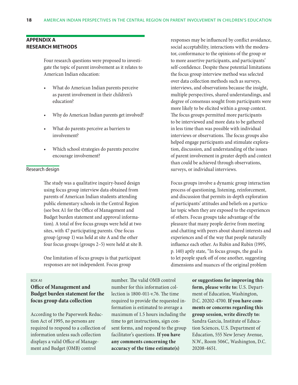## **Appendix A Research methods**

Four research questions were proposed to investigate the topic of parent involvement as it relates to American Indian education:

- What do American Indian parents perceive as parent involvement in their children's education?
- Why do American Indian parents get involved?
- What do parents perceive as barriers to involvement?
- Which school strategies do parents perceive encourage involvement?

#### Research design

The study was a qualitative inquiry-based design using focus group interview data obtained from parents of American Indian students attending public elementary schools in the Central Region (see box A1 for the Office of Management and Budget burden statement and approval information). A total of five focus groups were held at two sites, with 47 participating parents. One focus group (group 1) was held at site A and the other four focus groups (groups 2–5) were held at site B.

One limitation of focus groups is that participant responses are not independent. Focus group

responses may be influenced by conflict avoidance, social acceptability, interactions with the moderator, conformance to the opinions of the group or to more assertive participants, and participants' self-confidence. Despite these potential limitations the focus group interview method was selected over data collection methods such as surveys, interviews, and observations because the insight, multiple perspectives, shared understandings, and degree of consensus sought from participants were more likely to be elicited within a group context. The focus groups permitted more participants to be interviewed and more data to be gathered in less time than was possible with individual interviews or observations. The focus groups also helped engage participants and stimulate exploration, discussion, and understanding of the issues of parent involvement in greater depth and context than could be achieved through observations, surveys, or individual interviews.

Focus groups involve a dynamic group interaction process of questioning, listening, reinforcement, and discussion that permits in-depth exploration of participants' attitudes and beliefs on a particular topic when they are exposed to the experiences of others. Focus groups take advantage of the pleasure that many people derive from meeting and chatting with peers about shared interests and experiences and of the way that people naturally influence each other. As Rubin and Rubin (1995, p. 140) aptly state, "In focus groups, the goal is to let people spark off of one another, suggesting dimensions and nuances of the original problem

#### Box A1

## **Office of Management and Budget burden statement for the focus group data collection**

According to the Paperwork Reduction Act of 1995, no persons are required to respond to a collection of information unless such collection displays a valid Office of Management and Budget (OMB) control

number. The valid OMB control number for this information collection is 1800-011-v.76. The time required to provide the requested information is estimated to average a maximum of 1.5 hours including the time to get instructions, sign consent forms, and respond to the group facilitator's questions. **If you have any comments concerning the accuracy of the time estimate(s)** 

**or suggestions for improving this form, please write to:** U.S. Department of Education, Washington, D.C. 20202-4700. **If you have comments or concerns regarding this group session, write directly to:** Sandra Garcia, Institute of Education Sciences, U.S. Department of Education, 555 New Jersey Avenue, N.W., Room 506C, Washington, D.C. 20208-4651.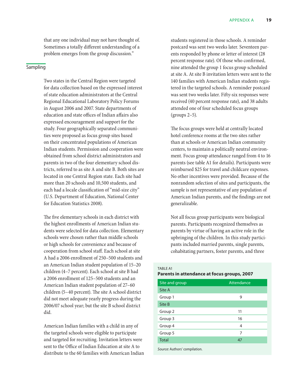that any one individual may not have thought of. Sometimes a totally different understanding of a problem emerges from the group discussion."

## Sampling

Two states in the Central Region were targeted for data collection based on the expressed interest of state education administrators at the Central Regional Educational Laboratory Policy Forums in August 2006 and 2007. State departments of education and state offices of Indian affairs also expressed encouragement and support for the study. Four geographically separated communities were proposed as focus group sites based on their concentrated populations of American Indian students. Permission and cooperation were obtained from school district administrators and parents in two of the four elementary school districts, referred to as site A and site B. Both sites are located in one Central Region state. Each site had more than 20 schools and 10,500 students, and each had a locale classification of "mid-size city" (U.S. Department of Education, National Center for Education Statistics 2008).

The five elementary schools in each district with the highest enrollments of American Indian students were selected for data collection. Elementary schools were chosen rather than middle schools or high schools for convenience and because of cooperation from school staff. Each school at site A had a 2006 enrollment of 250–500 students and an American Indian student population of 15–20 children (4–7 percent). Each school at site B had a 2006 enrollment of 125–500 students and an American Indian student population of 27–60 children (5–40 percent). The site A school district did not meet adequate yearly progress during the 2006/07 school year; but the site B school district did.

American Indian families with a child in any of the targeted schools were eligible to participate and targeted for recruiting. Invitation letters were sent to the Office of Indian Education at site A to distribute to the 60 families with American Indian students registered in those schools. A reminder postcard was sent two weeks later. Seventeen parents responded by phone or letter of interest (28 percent response rate). Of those who confirmed, nine attended the group 1 focus group scheduled at site A. At site B invitation letters were sent to the 140 families with American Indian students registered in the targeted schools. A reminder postcard was sent two weeks later. Fifty-six responses were received (40 percent response rate), and 38 adults attended one of four scheduled focus groups (groups 2–5).

The focus groups were held at centrally located hotel conference rooms at the two sites rather than at schools or American Indian community centers, to maintain a politically neutral environment. Focus group attendance ranged from 4 to 16 parents (see table A1 for details). Participants were reimbursed \$25 for travel and childcare expenses. No other incentives were provided. Because of the nonrandom selection of sites and participants, the sample is not representative of any population of American Indian parents, and the findings are not generalizable.

Not all focus group participants were biological parents. Participants recognized themselves as parents by virtue of having an active role in the upbringing of the children. In this study participants included married parents, single parents, cohabitating partners, foster parents, and three

Table A1

### **Parents in attendance at focus groups, 2007**

| Site and group                | Attendance |
|-------------------------------|------------|
| Site A                        |            |
| Group 1                       | 9          |
| Site B                        |            |
| Group 2                       | 11         |
| Group 3                       | 16         |
| Group 4                       | 4          |
| Group 5                       | 7          |
| <b>Total</b>                  | 47         |
| Source: Authors' compilation. |            |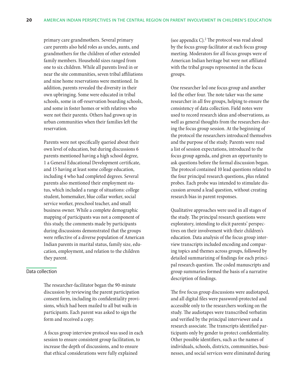primary care grandmothers. Several primary care parents also held roles as uncles, aunts, and grandmothers for the children of other extended family members. Household sizes ranged from one to six children. While all parents lived in or near the site communities, seven tribal affiliations and nine home reservations were mentioned. In addition, parents revealed the diversity in their own upbringing. Some were educated in tribal schools, some in off-reservation boarding schools, and some in foster homes or with relatives who were not their parents. Others had grown up in urban communities when their families left the reservation.

Parents were not specifically queried about their own level of education, but during discussions 6 parents mentioned having a high school degree, 1 a General Educational Development certificate, and 15 having at least some college education, including 4 who had completed degrees. Several parents also mentioned their employment status, which included a range of situations: college student, homemaker, blue collar worker, social service worker, preschool teacher, and small business owner. While a complete demographic mapping of participants was not a component of this study, the comments made by participants during discussions demonstrated that the groups were reflective of a diverse population of American Indian parents in marital status, family size, education, employment, and relation to the children they parent.

## Data collection

The researcher-facilitator began the 90-minute discussion by reviewing the parent participation consent form, including its confidentiality provisions, which had been mailed to all but walk-in participants. Each parent was asked to sign the form and received a copy.

A focus group interview protocol was used in each session to ensure consistent group facilitation, to increase the depth of discussions, and to ensure that ethical considerations were fully explained

(see appendix C).<sup>2</sup> The protocol was read aloud by the focus group facilitator at each focus group meeting. Moderators for all focus groups were of American Indian heritage but were not affiliated with the tribal groups represented in the focus groups.

One researcher led one focus group and another led the other four. The note taker was the same researcher in all five groups, helping to ensure the consistency of data collection. Field notes were used to record research ideas and observations, as well as general thoughts from the researchers during the focus group session. At the beginning of the protocol the researchers introduced themselves and the purpose of the study. Parents were read a list of session expectations, introduced to the focus group agenda, and given an opportunity to ask questions before the formal discussion began. The protocol contained 10 lead questions related to the four principal research questions, plus related probes. Each probe was intended to stimulate discussion around a lead question, without creating research bias in parent responses.

Qualitative approaches were used in all stages of the study. The principal research questions were exploratory, intending to elicit parents' perspectives on their involvement with their children's education. Data analysis of the focus group interview transcripts included encoding and comparing topics and themes across groups, followed by detailed summarizing of findings for each principal research question. The coded manuscripts and group summaries formed the basis of a narrative description of findings.

The five focus group discussions were audiotaped, and all digital files were password-protected and accessible only to the researchers working on the study. The audiotapes were transcribed verbatim and verified by the principal interviewer and a research associate. The transcripts identified participants only by gender to protect confidentiality. Other possible identifiers, such as the names of individuals, schools, districts, communities, businesses, and social services were eliminated during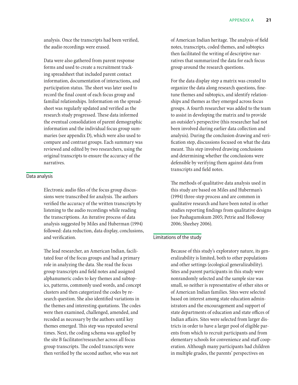analysis. Once the transcripts had been verified, the audio recordings were erased.

Data were also gathered from parent response forms and used to create a recruitment tracking spreadsheet that included parent contact information, documentation of interactions, and participation status. The sheet was later used to record the final count of each focus group and familial relationships. Information on the spreadsheet was regularly updated and verified as the research study progressed. These data informed the eventual consolidation of parent demographic information and the individual focus group summaries (see appendix D), which were also used to compare and contrast groups. Each summary was reviewed and edited by two researchers, using the original transcripts to ensure the accuracy of the narratives.

## Data analysis

Electronic audio files of the focus group discussions were transcribed for analysis. The authors verified the accuracy of the written transcripts by listening to the audio recordings while reading the transcriptions. An iterative process of data analysis suggested by Miles and Huberman (1994) followed: data reduction, data display, conclusions, and verification.

The lead researcher, an American Indian, facilitated four of the focus groups and had a primary role in analyzing the data. She read the focus group transcripts and field notes and assigned alphanumeric codes to key themes and subtopics, patterns, commonly used words, and concept clusters and then categorized the codes by research question. She also identified variations in the themes and interesting quotations. The codes were then examined, challenged, amended, and recoded as necessary by the authors until key themes emerged. This step was repeated several times. Next, the coding schema was applied by the site B facilitator/researcher across all focus group transcripts. The coded transcripts were then verified by the second author, who was not

of American Indian heritage. The analysis of field notes, transcripts, coded themes, and subtopics then facilitated the writing of descriptive narratives that summarized the data for each focus group around the research questions.

For the data display step a matrix was created to organize the data along research questions, finetune themes and subtopics, and identify relationships and themes as they emerged across focus groups. A fourth researcher was added to the team to assist in developing the matrix and to provide an outsider's perspective (this researcher had not been involved during earlier data collection and analysis). During the conclusion drawing and verification step, discussions focused on what the data meant. This step involved drawing conclusions and determining whether the conclusions were defensible by verifying them against data from transcripts and field notes.

The methods of qualitative data analysis used in this study are based on Miles and Huberman's (1994) three-step process and are common in qualitative research and have been noted in other studies reporting findings from qualitative designs (see Pashagumskum 2005; Petrie and Holloway 2006; Sheehey 2006).

#### Limitations of the study

Because of this study's exploratory nature, its generalizability is limited, both to other populations and other settings (ecological generalizability). Sites and parent participants in this study were nonrandomly selected and the sample size was small, so neither is representative of other sites or of American Indian families. Sites were selected based on interest among state education administrators and the encouragement and support of state departments of education and state offices of Indian affairs. Sites were selected from larger districts in order to have a larger pool of eligible parents from which to recruit participants and from elementary schools for convenience and staff cooperation. Although many participants had children in multiple grades, the parents' perspectives on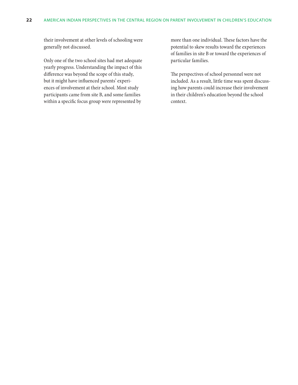their involvement at other levels of schooling were generally not discussed.

Only one of the two school sites had met adequate yearly progress. Understanding the impact of this difference was beyond the scope of this study, but it might have influenced parents' experiences of involvement at their school. Most study participants came from site B, and some families within a specific focus group were represented by

more than one individual. These factors have the potential to skew results toward the experiences of families in site B or toward the experiences of particular families.

The perspectives of school personnel were not included. As a result, little time was spent discussing how parents could increase their involvement in their children's education beyond the school context.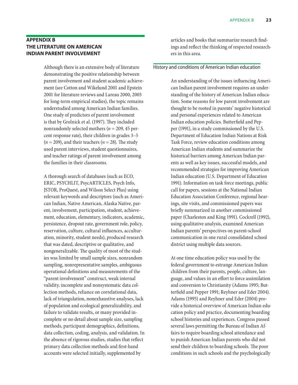## **Appendix B The literature on American Indian parent involvement**

Although there is an extensive body of literature demonstrating the positive relationship between parent involvement and student academic achievement (see Cotton and Wikelund 2001 and Epstein 2001 for literature reviews and Lareau 2000, 2003 for long-term empirical studies), the topic remains understudied among American Indian families. One study of predictors of parent involvement is that by Grolnick et al. (1997). They included nonrandomly selected mothers (*n* = 209, 45 percent response rate), their children in grades 3–5  $(n = 209)$ , and their teachers  $(n = 28)$ . The study used parent interviews, student questionnaires, and teacher ratings of parent involvement among the families in their classrooms.

A thorough search of databases (such as ECO, ERIC, PSYCHLIT, PsycARTICLES, Psych Info, JSTOR, ProQuest, and Wilson Select Plus) using relevant keywords and descriptors (such as American Indian, Native American, Alaska Native, parent, involvement, participation, student, achievement, education, elementary, indicators, academic, persistence, dropout rate, government role, policy, reservation, culture, cultural influences, acculturation, minority, student needs), produced research that was dated, descriptive or qualitative, and nongeneralizable. The quality of most of the studies was limited by small sample sizes, nonrandom sampling, nonrepresentative samples, ambiguous operational definitions and measurements of the "parent involvement" construct, weak internal validity, incomplete and nonsystematic data collection methods, reliance on correlational data, lack of triangulation, nonexhaustive analyses, lack of population and ecological generalizability, and failure to validate results, or many provided incomplete or no detail about sample size, sampling methods, participant demographics, definitions, data collection, coding, analysis, and validation. In the absence of rigorous studies, studies that reflect primary data collection methods and first-hand accounts were selected initially, supplemented by

articles and books that summarize research findings and reflect the thinking of respected researchers in this area.

## History and conditions of American Indian education

An understanding of the issues influencing American Indian parent involvement requires an understanding of the history of American Indian education. Some reasons for low parent involvement are thought to be rooted in parents' negative historical and personal experiences related to American Indian education policies. Butterfield and Pepper (1991), in a study commissioned by the U.S. Department of Education Indian Nations at Risk Task Force, review education conditions among American Indian students and summarize the historical barriers among American Indian parents as well as key issues, successful models, and recommended strategies for improving American Indian education (U.S. Department of Education 1991). Information on task force meetings, public call for papers, sessions at the National Indian Education Association Conference, regional hearings, site visits, and commissioned papers was briefly summarized in another commissioned paper (Charleston and King 1991). Cockrell (1992), using qualitative analysis, examined American Indian parents' perspectives on parent-school communication in one rural consolidated school district using multiple data sources.

At one time education policy was used by the federal government to estrange American Indian children from their parents, people, culture, language, and values in an effort to force assimilation and conversion to Christianity (Adams 1995; Butterfield and Pepper 1991; Reyhner and Eder 2004). Adams (1995) and Reyhner and Eder (2004) provide a historical overview of American Indian education policy and practice, documenting boarding school histories and experiences. Congress passed several laws permitting the Bureau of Indian Affairs to require boarding school attendance and to punish American Indian parents who did not send their children to boarding schools. The poor conditions in such schools and the psychologically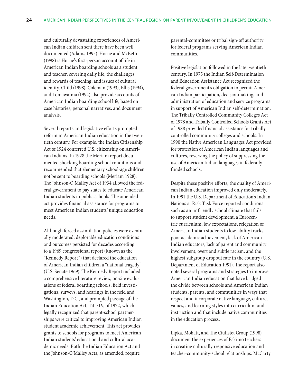and culturally devastating experiences of American Indian children sent there have been well documented (Adams 1995). Horne and McBeth (1998) is Horne's first-person account of life in American Indian boarding schools as a student and teacher, covering daily life, the challenges and rewards of teaching, and issues of cultural identity. Child (1998), Coleman (1993), Ellis (1994), and Lomawaima (1994) also provide accounts of American Indian boarding school life, based on case histories, personal narratives, and document analysis.

Several reports and legislative efforts prompted reform in American Indian education in the twentieth century. For example, the Indian Citizenship Act of 1924 conferred U.S. citizenship on American Indians. In 1928 the Meriam report documented shocking boarding school conditions and recommended that elementary school-age children not be sent to boarding schools (Meriam 1928). The Johnson-O'Malley Act of 1934 allowed the federal government to pay states to educate American Indian students in public schools. The amended act provides financial assistance for programs to meet American Indian students' unique education needs.

Although forced assimilation policies were eventually moderated, deplorable education conditions and outcomes persisted for decades according to a 1969 congressional report (known as the "Kennedy Report") that declared the education of American Indian children a "national tragedy" (U.S. Senate 1969). The Kennedy Report included a comprehensive literature review, on-site evaluations of federal boarding schools, field investigations, surveys, and hearings in the field and Washington, D.C., and prompted passage of the Indian Education Act, Title IV, of 1972, which legally recognized that parent-school partnerships were critical to improving American Indian student academic achievement. This act provides grants to schools for programs to meet American Indian students' educational and cultural academic needs. Both the Indian Education Act and the Johnson-O'Malley Acts, as amended, require

parental-committee or tribal sign-off authority for federal programs serving American Indian communities.

Positive legislation followed in the late twentieth century. In 1975 the Indian Self-Determination and Education Assistance Act recognized the federal government's obligation to permit American Indian participation, decisionmaking, and administration of education and service programs in support of American Indian self-determination. The Tribally Controlled Community Colleges Act of 1978 and Tribally Controlled Schools Grants Act of 1988 provided financial assistance for tribally controlled community colleges and schools. In 1990 the Native American Languages Act provided for protection of American Indian languages and cultures, reversing the policy of suppressing the use of American Indian languages in federally funded schools.

Despite these positive efforts, the quality of American Indian education improved only moderately. In 1991 the U.S. Department of Education's Indian Nations at Risk Task Force reported conditions such as an unfriendly school climate that fails to support student development, a Eurocentric curriculum, low expectations, relegation of American Indian students to low-ability tracks, poor academic achievement, lack of American Indian educators, lack of parent and community involvement, overt and subtle racism, and the highest subgroup dropout rate in the country (U.S. Department of Education 1991). The report also noted several programs and strategies to improve American Indian education that have bridged the divide between schools and American Indian students, parents, and communities in ways that respect and incorporate native language, culture, values, and learning styles into curriculum and instruction and that include native communities in the education process.

Lipka, Mohatt, and The Ciulistet Group (1998) document the experiences of Eskimo teachers in creating culturally responsive education and teacher-community-school relationships. McCarty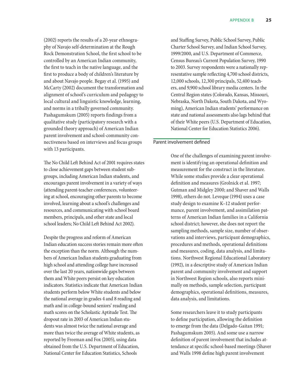(2002) reports the results of a 20-year ethnography of Navajo self-determination at the Rough Rock Demonstration School, the first school to be controlled by an American Indian community, the first to teach in the native language, and the first to produce a body of children's literature by and about Navajo people. Begay et al. (1995) and McCarty (2002) document the transformation and alignment of school's curriculum and pedagogy to local cultural and linguistic knowledge, learning, and norms in a tribally governed community. Pashagumskum (2005) reports findings from a qualitative study (participatory research with a grounded theory approach) of American Indian parent involvement and school-community connectiveness based on interviews and focus groups with 13 participants.

The No Child Left Behind Act of 2001 requires states to close achievement gaps between student subgroups, including American Indian students, and encourages parent involvement in a variety of ways (attending parent-teacher conferences, volunteering at school, encouraging other parents to become involved, learning about a school's challenges and resources, and communicating with school board members, principals, and other state and local school leaders; No Child Left Behind Act 2002).

Despite the progress and reform of American Indian education success stories remain more often the exception than the norm. Although the numbers of American Indian students graduating from high school and attending college have increased over the last 20 years, nationwide gaps between them and White peers persist on key education indicators. Statistics indicate that American Indian students perform below White students and below the national average in grades 4 and 8 reading and math and in college-bound seniors' reading and math scores on the Scholastic Aptitude Test. The dropout rate in 2003 of American Indian students was almost twice the national average and more than twice the average of White students, as reported by Freeman and Fox (2005), using data obtained from the U.S. Department of Education, National Center for Education Statistics, Schools

and Staffing Survey, Public School Survey, Public Charter School Survey, and Indian School Survey, 1999/2000, and U.S. Department of Commerce, Census Bureau's Current Population Survey, 1990 to 2003. Survey respondents were a nationally representative sample reflecting 4,700 school districts, 12,000 schools, 12,300 principals, 52,400 teachers, and 9,900 school library media centers. In the Central Region states (Colorado, Kansas, Missouri, Nebraska, North Dakota, South Dakota, and Wyoming), American Indian students' performance on state and national assessments also lags behind that of their White peers (U.S. Department of Education, National Center for Education Statistics 2006).

#### Parent involvement defined

One of the challenges of examining parent involvement is identifying an operational definition and measurement for the construct in the literature. While some studies provide a clear operational definition and measures (Grolnick et al. 1997; Gutman and Midgley 2000; and Shaver and Walls 1998), others do not. Leveque (1994) uses a case study design to examine K–12 student performance, parent involvement, and assimilation patterns of American Indian families in a California school district; however, she does not report the sampling methods, sample size, number of observations and interviews, participant demographics, procedures and methods, operational definitions and measures, coding, data analysis, and limitations. Northwest Regional Educational Laboratory (1992), in a descriptive study of American Indian parent and community involvement and support in Northwest Region schools, also reports minimally on methods, sample selection, participant demographics, operational definitions, measures, data analysis, and limitations.

Some researchers leave it to study participants to define participation, allowing the definition to emerge from the data (Delgado-Gaitan 1991; Pashagumskum 2005). And some use a narrow definition of parent involvement that includes attendance at specific school-based meetings (Shaver and Walls 1998 define high parent involvement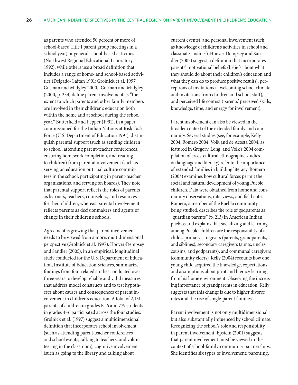as parents who attended 50 percent or more of school-based Title I parent group meetings in a school year) or general school-based activities (Northwest Regional Educational Laboratory 1992), while others use a broad definition that includes a range of home- and school-based activities (Delgado-Gaitan 1991; Grolnick et al. 1997; Gutman and Midgley 2000). Gutman and Midgley (2000, p. 234) define parent involvement as "the extent to which parents and other family members are involved in their children's education both within the home and at school during the school year." Butterfield and Pepper (1991), in a paper commissioned for the Indian Nations at Risk Task Force (U.S. Department of Education 1991), distinguish parental support (such as sending children to school, attending parent-teacher conferences, ensuring homework completion, and reading to children) from parental involvement (such as serving on education or tribal culture committees in the school, participating in parent-teacher organizations, and serving on boards). They note that parental support reflects the roles of parents as learners, teachers, counselors, and resources for their children, whereas parental involvement reflects parents as decisionmakers and agents of change in their children's schools.

Agreement is growing that parent involvement needs to be viewed from a more, multidimensional perspective (Grolnick et al. 1997). Hoover-Dempsey and Sandler (2005), in an empirical, longitudinal study conducted for the U.S. Department of Education, Institute of Education Sciences, summarize findings from four related studies conducted over three years to develop reliable and valid measures that address model constructs and to test hypotheses about causes and consequences of parent involvement in children's education. A total of 2,151 parents of children in grades K–6 and 779 students in grades 4–6 participated across the four studies. Grolnick et al. (1997) suggest a multidimensional definition that incorporates school involvement (such as attending parent-teacher conferences and school events, talking to teachers, and volunteering in the classroom), cognitive involvement (such as going to the library and talking about

current events), and personal involvement (such as knowledge of children's activities in school and classmates' names). Hoover-Dempsey and Sandler (2005) suggest a definition that incorporates parents' motivational beliefs (beliefs about what they should do about their children's education and what they can do to produce positive results), perceptions of invitations (a welcoming school climate and invitations from children and school staff), and perceived life context (parents' perceived skills, knowledge, time, and energy for involvement).

Parent involvement can also be viewed in the broader context of the extended family and community. Several studies (see, for example, Kelly 2004; Romero 2004; Volk and de Acosta 2004, as featured in Gregory, Long, and Volk's 2004 compilation of cross-cultural ethnographic studies on language and literacy) refer to the importance of extended families in building literacy. Romero (2004) examines how cultural forces permit the social and natural development of young Pueblo children. Data were obtained from home and community observations, interviews, and field notes. Romero, a member of the Pueblo community being studied, describes the role of godparents as "guardian parents" (p. 213) in American Indian pueblos and explains that socializing and learning among Pueblo children are the responsibility of a child's primary caregivers (parents, grandparents, and siblings), secondary caregivers (aunts, uncles, cousins, and godparents), and communal caregivers (community elders). Kelly (2004) recounts how one young child acquired the knowledge, expectations, and assumptions about print and literacy learning from his home environment. Observing the increasing importance of grandparents in education, Kelly suggests that this change is due to higher divorce rates and the rise of single-parent families.

Parent involvement is not only multidimensional but also substantially influenced by school climate. Recognizing the school's role and responsibility in parent involvement, Epstein (2001) suggests that parent involvement must be viewed in the context of school-family-community partnerships. She identifies six types of involvement: parenting,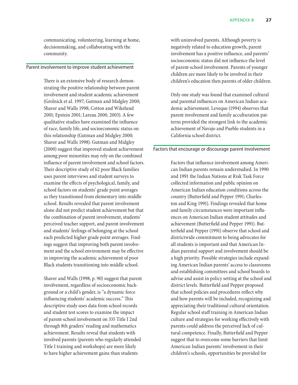communicating, volunteering, learning at home, decisionmaking, and collaborating with the community.

## Parent involvement to improve student achievement

There is an extensive body of research demonstrating the positive relationship between parent involvement and student academic achievement (Grolnick et al. 1997; Gutman and Midgley 2000; Shaver and Walls 1998; Cotton and Wikelund 2001; Epstein 2001; Lareau 2000, 2003). A few qualitative studies have examined the influence of race, family life, and socioeconomic status on this relationship (Gutman and Midgley 2000; Shaver and Walls 1998). Gutman and Midgley (2000) suggest that improved student achievement among poor minorities may rely on the combined influence of parent involvement and school factors. Their descriptive study of 62 poor Black families uses parent interviews and student surveys to examine the effects of psychological, family, and school factors on students' grade point averages as they transitioned from elementary into middle school. Results revealed that parent involvement alone did not predict student achievement but that the combination of parent involvement, students' perceived teacher support, and parent involvement and students' feelings of belonging at the school each predicted higher grade point averages. Findings suggest that improving both parent involvement and the school environment may be effective in improving the academic achievement of poor Black students transitioning into middle school.

Shaver and Walls (1998, p. 90) suggest that parent involvement, regardless of socioeconomic background or a child's gender, is "a dynamic force influencing students' academic success." This descriptive study uses data from school records and student test scores to examine the impact of parent-school involvement on 335 Title I 2nd through 8th graders' reading and mathematics achievement. Results reveal that students with involved parents (parents who regularly attended Title I training and workshops) are more likely to have higher achievement gains than students

with uninvolved parents. Although poverty is negatively related to education growth, parent involvement has a positive influence, and parents' socioeconomic status did not influence the level of parent-school involvement. Parents of younger children are more likely to be involved in their children's education then parents of older children.

Only one study was found that examined cultural and parental influences on American Indian academic achievement. Leveque (1994) observes that parent involvement and family acculturation patterns provided the strongest link to the academic achievement of Navajo and Pueblo students in a California school district.

#### Factors that encourage or discourage parent involvement

Factors that influence involvement among American Indian parents remain understudied. In 1990 and 1991 the Indian Nations at Risk Task Force collected information and public opinion on American Indian education conditions across the country (Butterfield and Pepper 1991; Charleston and King 1991). Findings revealed that home and family circumstances were important influences on American Indian student attitudes and achievement (Butterfield and Pepper 1991). Butterfield and Pepper (1991) observe that school and districtwide commitment to being advocates for all students is important and that American Indian parental support and involvement should be a high priority. Possible strategies include expanding American Indian parents' access to classrooms and establishing committees and school boards to advise and assist in policy setting at the school and district levels. Butterfield and Pepper proposed that school policies and procedures reflect why and how parents will be included, recognizing and appreciating their traditional cultural orientation. Regular school staff training in American Indian culture and strategies for working effectively with parents could address the perceived lack of cultural competence. Finally, Butterfield and Pepper suggest that to overcome some barriers that limit American Indian parents' involvement in their children's schools, opportunities be provided for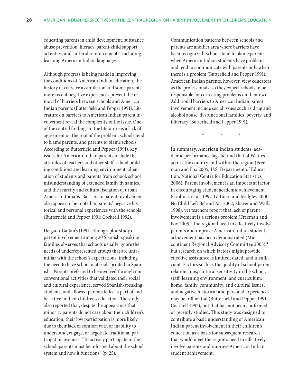educating parents in child development, substance abuse prevention, literacy, parent-child support activities, and cultural reinforcement—including learning American Indian languages.

Although progress is being made in improving the conditions of American Indian education, the history of coercive assimilation and some parents' more recent negative experiences prevent the removal of barriers between schools and American Indian parents (Butterfield and Pepper 1991). Literature on barriers to American Indian parent involvement reveal the complexity of the issue. One of the central findings in the literature is a lack of agreement on the root of the problem; schools tend to blame parents, and parents to blame schools. According to Butterfield and Pepper (1991), key issues for American Indian parents include the attitudes of teachers and other staff, school building conditions and learning environment, alienation of students and parents from school, school misunderstanding of extended family dynamics, and the scarcity and cultural isolation of urban American Indians. Barriers to parent involvement also appear to be rooted in parents' negative historical and personal experiences with the schools (Butterfield and Pepper 1991; Cockrell 1992).

Delgado-Gaitan's (1991) ethnographic study of parent involvement among 20 Spanish-speaking families observes that schools usually ignore the needs of underrepresented groups that are unfamiliar with the school's expectations, including the need to have school materials printed in Spanish.<sup>3</sup> Parents preferred to be involved through nonconventional activities that validated their social and cultural experience, served Spanish-speaking students, and allowed parents to feel a part of and be active in their children's education. The study also reported that, despite the appearance that minority parents do not care about their children's education, their low participation is more likely due to their lack of comfort with or inability to understand, engage, or negotiate traditional participation avenues: "To actively participate in the school, parents must be informed about the school system and how it functions" (p. 25).

Communication patterns between schools and parents are another area where barriers have been recognized. Schools tend to blame parents when American Indian students have problems and tend to communicate with parents only when there is a problem (Butterfield and Pepper 1991). American Indian parents, however, view educators as the professionals, so they expect schools to be responsible for correcting problems on their own. Additional barriers to American Indian parent involvement include social issues such as drug and alcohol abuse, dysfunctional families, poverty, and illiteracy (Butterfield and Pepper 1991).

\* \* \*

In summary, American Indian students' academic performance lags behind that of Whites across the country and within the region (Freeman and Fox 2005; U.S. Department of Education, National Center for Education Statistics 2006). Parent involvement is an important factor in encouraging student academic achievement (Grolnick et al. 1997; Gutman and Midgley 2000; No Child Left Behind Act 2002; Shaver and Walls 1998), yet teachers report that lack of parent involvement is a serious problem (Freeman and Fox 2005). The regional need to effectively involve parents and improve American Indian student achievement has been demonstrated (Midcontinent Regional Advisory Committee 2005),<sup>4</sup> but research on which factors might provide effective assistance is limited, dated, and insufficient. Factors such as the quality of school-parent relationships; cultural sensitivity in the school, staff, learning environment, and curriculum; home, family, community, and cultural issues; and negative historical and personal experiences may be influential (Butterfield and Pepper 1991; Cockrell 1992), but that has not been confirmed or recently studied. This study was designed to contribute a basic understanding of American Indian parent involvement in their children's education as a basis for subsequent research that would meet the region's need to effectively involve parents and improve American Indian student achievement.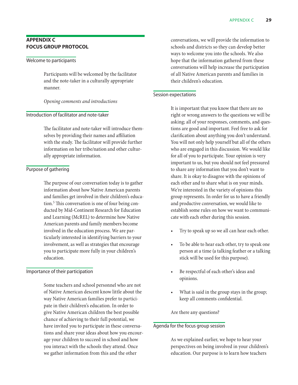## **Appendix C Focus group protocol**

## Welcome to participants

Participants will be welcomed by the facilitator and the note-taker in a culturally appropriate manner.

## *Opening comments and introductions*

## Introduction of facilitator and note-taker

The facilitator and note-taker will introduce themselves by providing their names and affiliation with the study. The facilitator will provide further information on her tribe/nation and other culturally appropriate information.

## Purpose of gathering

The purpose of our conversation today is to gather information about how Native American parents and families get involved in their children's education.5 This conversation is one of four being conducted by Mid-Continent Research for Education and Learning (McREL) to determine how Native American parents and family members become involved in the education process. We are particularly interested in identifying barriers to your involvement, as well as strategies that encourage you to participate more fully in your children's education.

## Importance of their participation

Some teachers and school personnel who are not of Native American descent know little about the way Native American families prefer to participate in their children's education. In order to give Native American children the best possible chance of achieving to their full potential, we have invited you to participate in these conversations and share your ideas about how you encourage your children to succeed in school and how you interact with the schools they attend. Once we gather information from this and the other

conversations, we will provide the information to schools and districts so they can develop better ways to welcome you into the schools. We also hope that the information gathered from these conversations will help increase the participation of all Native American parents and families in their children's education.

## Session expectations

It is important that you know that there are no right or wrong answers to the questions we will be asking; all of your responses, comments, and questions are good and important. Feel free to ask for clarification about anything you don't understand. You will not only help yourself but all of the others who are engaged in this discussion. We would like for all of you to participate. Your opinion is very important to us, but you should not feel pressured to share any information that you don't want to share. It is okay to disagree with the opinions of each other and to share what is on your minds. We're interested in the variety of opinions this group represents. In order for us to have a friendly and productive conversation, we would like to establish some rules on how we want to communicate with each other during this session.

- Try to speak up so we all can hear each other.
- To be able to hear each other, try to speak one person at a time (a talking feather or a talking stick will be used for this purpose).
- Be respectful of each other's ideas and opinions.
- What is said in the group stays in the group; keep all comments confidential.

Are there any questions?

## Agenda for the focus group session

As we explained earlier, we hope to hear your perspectives on being involved in your children's education. Our purpose is to learn how teachers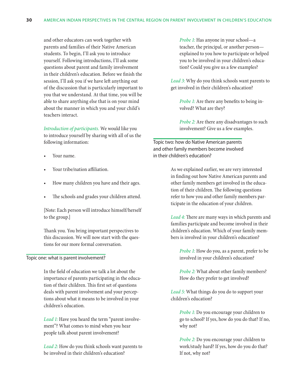and other educators can work together with parents and families of their Native American students. To begin, I'll ask you to introduce yourself. Following introductions, I'll ask some questions about parent and family involvement in their children's education. Before we finish the session, I'll ask you if we have left anything out of the discussion that is particularly important to you that we understand. At that time, you will be able to share anything else that is on your mind about the manner in which you and your child's teachers interact.

*Introduction of participants.* We would like you to introduce yourself by sharing with all of us the following information:

- Your name.
- Your tribe/nation affiliation.
- How many children you have and their ages.
- The schools and grades your children attend.

[Note: Each person will introduce himself/herself to the group.]

Thank you. You bring important perspectives to this discussion. We will now start with the questions for our more formal conversation.

## Topic one: what is parent involvement?

In the field of education we talk a lot about the importance of parents participating in the education of their children. This first set of questions deals with parent involvement and your perceptions about what it means to be involved in your children's education.

*Lead 1:* Have you heard the term "parent involvement"? What comes to mind when you hear people talk about parent involvement?

*Lead 2:* How do you think schools want parents to be involved in their children's education?

*Probe 1:* Has anyone in your school—a teacher, the principal, or another person explained to you how to participate or helped you to be involved in your children's education? Could you give us a few examples?

*Lead 3:* Why do you think schools want parents to get involved in their children's education?

*Probe 1:* Are there any benefits to being involved? What are they?

*Probe 2:* Are there any disadvantages to such involvement? Give us a few examples.

Topic two: how do Native American parents and other family members become involved in their children's education?

> As we explained earlier, we are very interested in finding out how Native American parents and other family members get involved in the education of their children. The following questions refer to how you and other family members participate in the education of your children.

*Lead 4:* There are many ways in which parents and families participate and become involved in their children's education. Which of your family members is involved in your children's education?

*Probe 1:* How do you, as a parent, prefer to be involved in your children's education?

*Probe 2:* What about other family members? How do they prefer to get involved?

*Lead 5:* What things do you do to support your children's education?

*Probe 1:* Do you encourage your children to go to school? If yes, how do you do that? If no, why not?

*Probe 2:* Do you encourage your children to work/study hard? If yes, how do you do that? If not, why not?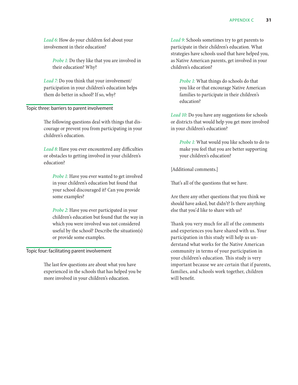*Lead 6:* How do your children feel about your involvement in their education?

*Probe 1:* Do they like that you are involved in their education? Why?

*Lead 7:* Do you think that your involvement/ participation in your children's education helps them do better in school? If so, why?

## Topic three: barriers to parent involvement

The following questions deal with things that discourage or prevent you from participating in your children's education.

*Lead 8:* Have you ever encountered any difficulties or obstacles to getting involved in your children's education?

*Probe 1:* Have you ever wanted to get involved in your children's education but found that your school discouraged it? Can you provide some examples?

*Probe 2:* Have you ever participated in your children's education but found that the way in which you were involved was not considered useful by the school? Describe the situation(s) or provide some examples.

## Topic four: facilitating parent involvement

The last few questions are about what you have experienced in the schools that has helped you be more involved in your children's education.

*Lead 9:* Schools sometimes try to get parents to participate in their children's education. What strategies have schools used that have helped you, as Native American parents, get involved in your children's education?

*Probe 1:* What things do schools do that you like or that encourage Native American families to participate in their children's education?

*Lead 10:* Do you have any suggestions for schools or districts that would help you get more involved in your children's education?

*Probe 1:* What would you like schools to do to make you feel that you are better supporting your children's education?

[Additional comments.]

That's all of the questions that we have.

Are there any other questions that you think we should have asked, but didn't? Is there anything else that you'd like to share with us?

Thank you very much for all of the comments and experiences you have shared with us. Your participation in this study will help us understand what works for the Native American community in terms of your participation in your children's education. This study is very important because we are certain that if parents, families, and schools work together, children will benefit.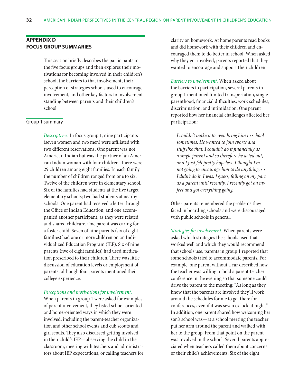## **Appendix D Focus group summaries**

This section briefly describes the participants in the five focus groups and then explores their motivations for becoming involved in their children's school, the barriers to that involvement, their perception of strategies schools used to encourage involvement, and other key factors to involvement standing between parents and their children's school.

### Group 1 summary

*Descriptives.* In focus group 1, nine participants (seven women and two men) were affiliated with two different reservations. One parent was not American Indian but was the partner of an American Indian woman with four children. There were 29 children among eight families. In each family the number of children ranged from one to six. Twelve of the children were in elementary school. Six of the families had students at the five target elementary schools; two had students at nearby schools. One parent had received a letter through the Office of Indian Education, and one accompanied another participant, as they were related and shared childcare. One parent was caring for a foster child. Seven of nine parents (six of eight families) had one or more children on an Individualized Education Program (IEP). Six of nine parents (five of eight families) had used medication prescribed to their children. There was little discussion of education levels or employment of parents, although four parents mentioned their college experience.

#### *Perceptions and motivations for involvement.*

When parents in group 1 were asked for examples of parent involvement, they listed school-oriented and home-oriented ways in which they were involved, including the parent-teacher organization and other school events and cub scouts and girl scouts. They also discussed getting involved in their child's IEP—observing the child in the classroom, meeting with teachers and administrators about IEP expectations, or calling teachers for clarity on homework. At home parents read books and did homework with their children and encouraged them to do better in school. When asked why they got involved, parents reported that they wanted to encourage and support their children.

*Barriers to involvement.* When asked about the barriers to participation, several parents in group 1 mentioned limited transportation, single parenthood, financial difficulties, work schedules, discrimination, and intimidation. One parent reported how her financial challenges affected her participation:

*I couldn't make it to even bring him to school sometimes. He wanted to join sports and stuff like that. I couldn't do it financially as a single parent and so therefore he acted out, and I just felt pretty hopeless. I thought I'm not going to encourage him to do anything, so I didn't do it. I was, I guess, failing on my part as a parent until recently. I recently got on my feet and got everything going.*

Other parents remembered the problems they faced in boarding schools and were discouraged with public schools in general.

*Strategies for involvement.* When parents were asked which strategies the schools used that worked well and which they would recommend that schools use, parents in group 1 reported that some schools tried to accommodate parents. For example, one parent without a car described how the teacher was willing to hold a parent-teacher conference in the evening so that someone could drive the parent to the meeting: "As long as they know that the parents are involved they'll work around the schedules for me to get there for conferences, even if it was seven o'clock at night." In addition, one parent shared how welcoming her son's school was—at a school meeting the teacher put her arm around the parent and walked with her to the group. From that point on the parent was involved in the school. Several parents appreciated when teachers called them about concerns or their child's achievements. Six of the eight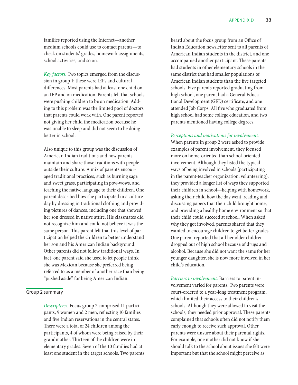families reported using the Internet—another medium schools could use to contact parents—to check on students' grades, homework assignments, school activities, and so on.

*Key factors.* Two topics emerged from the discussion in group 1: these were IEPs and cultural differences. Most parents had at least one child on an IEP and on medication. Parents felt that schools were pushing children to be on medication. Adding to this problem was the limited pool of doctors that parents could work with. One parent reported not giving her child the medication because he was unable to sleep and did not seem to be doing better in school.

Also unique to this group was the discussion of American Indian traditions and how parents maintain and share those traditions with people outside their culture. A mix of parents encouraged traditional practices, such as burning sage and sweet grass, participating in pow-wows, and teaching the native language to their children. One parent described how she participated in a culture day by dressing in traditional clothing and providing pictures of dances, including one that showed her son dressed in native attire. His classmates did not recognize him and could not believe it was the same person. This parent felt that this level of participation helped the children to better understand her son and his American Indian background. Other parents did not follow traditional ways. In fact, one parent said she used to let people think she was Mexican because she preferred being referred to as a member of another race than being "pushed aside" for being American Indian.

## Group 2 summary

*Descriptives.* Focus group 2 comprised 11 participants, 9 women and 2 men, reflecting 10 families and five Indian reservations in the central states. There were a total of 24 children among the participants, 4 of whom were being raised by their grandmother. Thirteen of the children were in elementary grades. Seven of the 10 families had at least one student in the target schools. Two parents heard about the focus group from an Office of Indian Education newsletter sent to all parents of American Indian students in the district, and one accompanied another participant. These parents had students in other elementary schools in the same district that had smaller populations of American Indian students than the five targeted schools. Five parents reported graduating from high school, one parent had a General Educational Development (GED) certificate, and one attended Job Corps. All five who graduated from high school had some college education, and two parents mentioned having college degrees.

*Perceptions and motivations for involvement.*

When parents in group 2 were asked to provide examples of parent involvement, they focused more on home-oriented than school-oriented involvement. Although they listed the typical ways of being involved in schools (participating in the parent-teacher organization, volunteering), they provided a longer list of ways they supported their children in school—helping with homework, asking their child how the day went, reading and discussing papers that their child brought home, and providing a healthy home environment so that their child could succeed at school. When asked why they got involved, parents shared that they wanted to encourage children to get better grades. One parent reported that all her older children dropped out of high school because of drugs and alcohol. Because she did not want the same for her younger daughter, she is now more involved in her child's education.

*Barriers to involvement.* Barriers to parent involvement varied for parents. Two parents were court-ordered to a year-long treatment program, which limited their access to their children's schools. Although they were allowed to visit the schools, they needed prior approval. These parents complained that schools often did not notify them early enough to receive such approval. Other parents were unsure about their parental rights. For example, one mother did not know if she should talk to the school about issues she felt were important but that the school might perceive as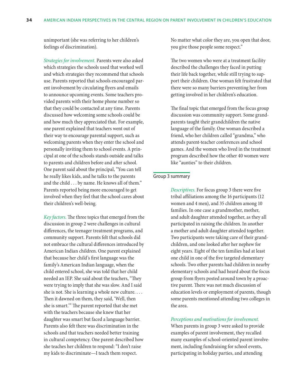unimportant (she was referring to her children's feelings of discrimination).

*Strategies for involvement.* Parents were also asked which strategies the schools used that worked well and which strategies they recommend that schools use. Parents reported that schools encouraged parent involvement by circulating flyers and emails to announce upcoming events. Some teachers provided parents with their home phone number so that they could be contacted at any time. Parents discussed how welcoming some schools could be and how much they appreciated that. For example, one parent explained that teachers went out of their way to encourage parental support, such as welcoming parents when they enter the school and personally inviting them to school events. A principal at one of the schools stands outside and talks to parents and children before and after school. One parent said about the principal, "You can tell he really likes kids, and he talks to the parents and the child . . . by name. He knows all of them." Parents reported being more encouraged to get involved when they feel that the school cares about their children's well-being.

*Key factors.* The three topics that emerged from the discussion in group 2 were challenges in cultural differences, the teenager treatment programs, and community support. Parents felt that schools did not embrace the cultural differences introduced by American Indian children. One parent explained that because her child's first language was the family's American Indian language, when the child entered school, she was told that her child needed an IEP. She said about the teachers, "They were trying to imply that she was slow. And I said she is not. She is learning a whole new culture. . . . Then it dawned on them, they said, 'Well, then she is smart.'" The parent reported that she met with the teachers because she knew that her daughter was smart but faced a language barrier. Parents also felt there was discrimination in the schools and that teachers needed better training in cultural competency. One parent described how she teaches her children to respond: "I don't raise my kids to discriminate—I teach them respect.

No matter what color they are, you open that door, you give those people some respect."

The two women who were at a treatment facility described the challenges they faced in putting their life back together, while still trying to support their children. One woman felt frustrated that there were so many barriers preventing her from getting involved in her children's education.

The final topic that emerged from the focus group discussion was community support. Some grandparents taught their grandchildren the native language of the family. One woman described a friend, who her children called "grandma," who attends parent-teacher conferences and school games. And the women who lived in the treatment program described how the other 40 women were like "aunties" to their children.

## Group 3 summary

*Descriptives.* For focus group 3 there were five tribal affiliations among the 16 participants (12 women and 4 men), and 35 children among 10 families. In one case a grandmother, mother, and adult daughter attended together, as they all participated in raising the children. In another a mother and adult daughter attended together. Two participants were taking care of their grandchildren, and one looked after her nephew for eight years. Eight of the ten families had at least one child in one of the five targeted elementary schools. Two other parents had children in nearby elementary schools and had heard about the focus group from flyers posted around town by a proactive parent. There was not much discussion of education levels or employment of parents, though some parents mentioned attending two colleges in the area.

#### *Perceptions and motivations for involvement.*

When parents in group 3 were asked to provide examples of parent involvement, they recalled many examples of school-oriented parent involvement, including fundraising for school events, participating in holiday parties, and attending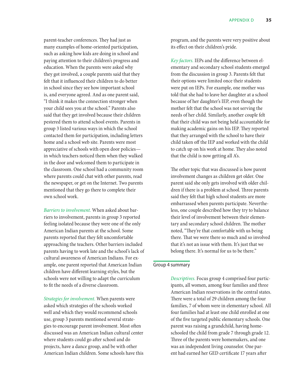parent-teacher conferences. They had just as many examples of home-oriented participation, such as asking how kids are doing in school and paying attention to their children's progress and education. When the parents were asked why they got involved, a couple parents said that they felt that it influenced their children to do better in school since they see how important school is, and everyone agreed. And as one parent said, "I think it makes the connection stronger when your child sees you at the school." Parents also said that they get involved because their children pestered them to attend school events. Parents in group 3 listed various ways in which the school contacted them for participation, including letters home and a school web site. Parents were most appreciative of schools with open door policies in which teachers noticed them when they walked in the door and welcomed them to participate in the classroom. One school had a community room where parents could chat with other parents, read the newspaper, or get on the Internet. Two parents mentioned that they go there to complete their own school work.

*Barriers to involvement.* When asked about barriers to involvement, parents in group 3 reported feeling isolated because they were one of the only American Indian parents at the school. Some parents reported that they felt uncomfortable approaching the teachers. Other barriers included parents having to work late and the school's lack of cultural awareness of American Indians. For example, one parent reported that American Indian children have different learning styles, but the schools were not willing to adapt the curriculum to fit the needs of a diverse classroom.

*Strategies for involvement.* When parents were asked which strategies of the schools worked well and which they would recommend schools use, group 3 parents mentioned several strategies to encourage parent involvement. Most often discussed was an American Indian cultural center where students could go after school and do projects, have a dance group, and be with other American Indian children. Some schools have this program, and the parents were very positive about its effect on their children's pride.

*Key factors.* IEPs and the difference between elementary and secondary school students emerged from the discussion in group 3. Parents felt that their options were limited once their students were put on IEPs. For example, one mother was told that she had to leave her daughter at a school because of her daughter's IEP, even though the mother felt that the school was not serving the needs of her child. Similarly, another couple felt that their child was not being held accountable for making academic gains on his IEP. They reported that they arranged with the school to have their child taken off the IEP and worked with the child to catch up on his work at home. They also noted that the child is now getting all A's.

The other topic that was discussed is how parent involvement changes as children get older. One parent said she only gets involved with older children if there is a problem at school. Three parents said they felt that high school students are more embarrassed when parents participate. Nevertheless, one couple described how they try to balance their level of involvement between their elementary and secondary school children. The mother noted, "They're that comfortable with us being there. That we were there so much and so involved that it's not an issue with them. It's just that we belong there. It's normal for us to be there."

## Group 4 summary

*Descriptives.* Focus group 4 comprised four participants, all women, among four families and three American Indian reservations in the central states. There were a total of 29 children among the four families, 7 of whom were in elementary school. All four families had at least one child enrolled at one of the five targeted public elementary schools. One parent was raising a grandchild, having homeschooled the child from grade 7 through grade 12. Three of the parents were homemakers, and one was an independent living counselor. One parent had earned her GED certificate 17 years after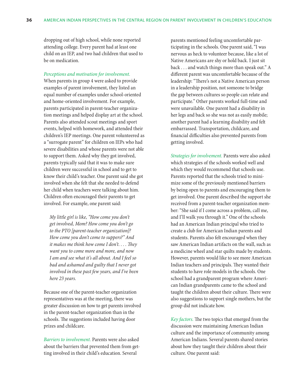dropping out of high school, while none reported attending college. Every parent had at least one child on an IEP, and two had children that used to be on medication.

*Perceptions and motivation for involvement.*

When parents in group 4 were asked to provide examples of parent involvement, they listed an equal number of examples under school-oriented and home-oriented involvement. For example, parents participated in parent-teacher organization meetings and helped display art at the school. Parents also attended scout meetings and sport events, helped with homework, and attended their children's IEP meetings. One parent volunteered as a "surrogate parent" for children on IEPs who had severe disabilities and whose parents were not able to support them. Asked why they got involved, parents typically said that it was to make sure children were successful in school and to get to know their child's teacher. One parent said she got involved when she felt that she needed to defend her child when teachers were talking about him. Children often encouraged their parents to get involved. For example, one parent said:

*My little girl is like, "How come you don't get involved, Mom? How come you don't go to the PTO [parent-teacher organization]? How come you don't come to suppers?" And it makes me think how come I don't. . . . They want you to come more and more, and now I am and see what it's all about. And I feel so bad and ashamed and guilty that I never got involved in these past few years, and I've been here 23 years.*

Because one of the parent-teacher organization representatives was at the meeting, there was greater discussion on how to get parents involved in the parent-teacher organization than in the schools. The suggestions included having door prizes and childcare.

*Barriers to involvement.* Parents were also asked about the barriers that prevented them from getting involved in their child's education. Several

parents mentioned feeling uncomfortable participating in the schools. One parent said, "I was nervous as heck to volunteer because, like a lot of Native Americans are shy or hold back. I just sit back . . . and watch things more than speak out." A different parent was uncomfortable because of the leadership: "There's not a Native American person in a leadership position, not someone to bridge the gap between cultures so people can relate and participate." Other parents worked full-time and were unavailable. One parent had a disability in her legs and back so she was not as easily mobile; another parent had a learning disability and felt embarrassed. Transportation, childcare, and financial difficulties also prevented parents from getting involved.

*Strategies for involvement.* Parents were also asked which strategies of the schools worked well and which they would recommend that schools use. Parents reported that the schools tried to minimize some of the previously mentioned barriers by being open to parents and encouraging them to get involved. One parent described the support she received from a parent-teacher organization member: "She said if I come across a problem, call me, and I'll walk you through it." One of the schools had an American Indian principal who tried to create a club for American Indian parents and students. Parents also felt encouraged when they saw American Indian artifacts on the wall, such as a medicine wheel and star quilts made by students. However, parents would like to see more American Indian teachers and principals. They wanted their students to have role models in the schools. One school had a grandparent program where American Indian grandparents came to the school and taught the children about their culture. There were also suggestions to support single mothers, but the group did not indicate how.

*Key factors.* The two topics that emerged from the discussion were maintaining American Indian culture and the importance of community among American Indians. Several parents shared stories about how they taught their children about their culture. One parent said: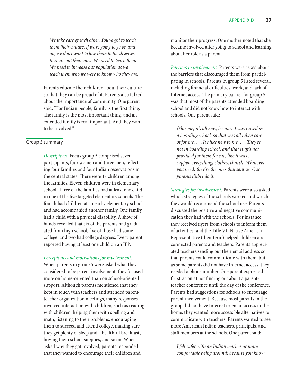*We take care of each other. You've got to teach them their culture. If we're going to go on and on, we don't want to lose them to the diseases that are out there now. We need to teach them. We need to increase our population as we teach them who we were to know who they are.*

Parents educate their children about their culture so that they can be proud of it. Parents also talked about the importance of community. One parent said, "For Indian people, family is the first thing. The family is the most important thing, and an extended family is real important. And they want to be involved."

## Group 5 summary

*Descriptives.* Focus group 5 comprised seven participants, four women and three men, reflecting four families and four Indian reservations in the central states. There were 17 children among the families. Eleven children were in elementary school. Three of the families had at least one child in one of the five targeted elementary schools. The fourth had children at a nearby elementary school and had accompanied another family. One family had a child with a physical disability. A show of hands revealed that six of the parents had graduated from high school, five of those had some college, and two had college degrees. Every parent reported having at least one child on an IEP.

#### *Perceptions and motivations for involvement.*

When parents in group 5 were asked what they considered to be parent involvement, they focused more on home-oriented than on school-oriented support. Although parents mentioned that they kept in touch with teachers and attended parentteacher organization meetings, many responses involved interaction with children, such as reading with children, helping them with spelling and math, listening to their problems, encouraging them to succeed and attend college, making sure they get plenty of sleep and a healthful breakfast, buying them school supplies, and so on. When asked why they got involved, parents responded that they wanted to encourage their children and

monitor their progress. One mother noted that she became involved after going to school and learning about her role as a parent.

*Barriers to involvement.* Parents were asked about the barriers that discouraged them from participating in schools. Parents in group 5 listed several, including financial difficulties, work, and lack of Internet access. The primary barrier for group 5 was that most of the parents attended boarding school and did not know how to interact with schools. One parent said:

*[F]or me, it's all new, because I was raised in a boarding school, so that was all taken care of for me.* . . . *It's like new to me.* . . . *They're not in boarding school, and that stuff's not provided for them for me, like it was* . . . *supper, everything, clothes, church. Whatever you need, they're the ones that sent us. Our parents didn't do it.*

*Strategies for involvement.* Parents were also asked which strategies of the schools worked and which they would recommend the school use. Parents discussed the positive and negative communication they had with the schools. For instance, they received flyers from schools to inform them of activities, and the Title VII Native American Representative (their term) helped children and connected parents and teachers. Parents appreciated teachers sending out their email address so that parents could communicate with them, but as some parents did not have Internet access, they needed a phone number. One parent expressed frustration at not finding out about a parentteacher conference until the day of the conference. Parents had suggestions for schools to encourage parent involvement. Because most parents in the group did not have Internet or email access in the home, they wanted more accessible alternatives to communicate with teachers. Parents wanted to see more American Indian teachers, principals, and staff members at the schools. One parent said:

*I felt safer with an Indian teacher or more comfortable being around; because you know*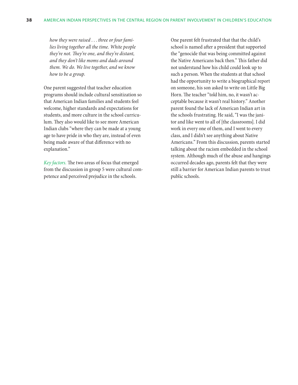*how they were raised* . . . *three or four families living together all the time. White people they're not. They're one, and they're distant, and they don't like moms and dads around them. We do. We live together, and we know how to be a group.*

One parent suggested that teacher education programs should include cultural sensitization so that American Indian families and students feel welcome, higher standards and expectations for students, and more culture in the school curriculum. They also would like to see more American Indian clubs "where they can be made at a young age to have pride in who they are, instead of even being made aware of that difference with no explanation."

*Key factors.* The two areas of focus that emerged from the discussion in group 5 were cultural competence and perceived prejudice in the schools.

One parent felt frustrated that that the child's school is named after a president that supported the "genocide that was being committed against the Native Americans back then." This father did not understand how his child could look up to such a person. When the students at that school had the opportunity to write a biographical report on someone, his son asked to write on Little Big Horn. The teacher "told him, no, it wasn't acceptable because it wasn't real history." Another parent found the lack of American Indian art in the schools frustrating. He said, "I was the janitor and like went to all of [the classrooms]. I did work in every one of them, and I went to every class, and I didn't see anything about Native Americans." From this discussion, parents started talking about the racism embedded in the school system. Although much of the abuse and hangings occurred decades ago, parents felt that they were still a barrier for American Indian parents to trust public schools.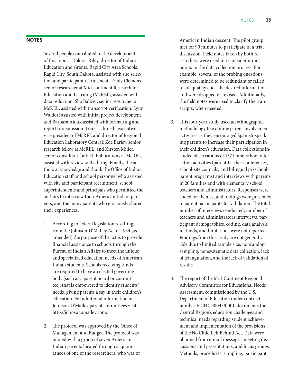## **Notes**

Several people contributed to the development of this report. Dolores Riley, director of Indian Education and Grants, Rapid City Area Schools, Rapid City, South Dakota, assisted with site selection and participant recruitment. Trudy Clemons, senior researcher at Mid-continent Research for Education and Learning (McREL), assisted with data reduction. Sha Balizet, senior researcher at McREL, assisted with transcript verification. Lynn Waldorf assisted with initial project development, and Barbara Aiduk assisted with formatting and report transmission. Lou Cicchinelli, executive vice president of McREL and director of Regional Education Laboratory Central; Zoe Barley, senior research fellow at McREL; and Kirsten Miller, senior consultant for REL Publications at McREL, assisted with review and editing. Finally, the authors acknowledge and thank the Office of Indian Education staff and school personnel who assisted with site and participant recruitment, school superintendents and principals who permitted the authors to interview their American Indian parents, and the many parents who graciously shared their experiences.

- 1. According to federal legislation resulting from the Johnson-O'Malley Act of 1934 (as amended) the purpose of the act is to provide financial assistance to schools through the Bureau of Indian Affairs to meet the unique and specialized education needs of American Indian students. Schools receiving funds are required to have an elected governing body (such as a parent board or committee), that is empowered to identify students' needs, giving parents a say in their children's education. For additional information on Johnson-O'Malley parent committees visit http://johnsonomalley.com/.
- 2. The protocol was approved by the Office of Management and Budget. The protocol was piloted with a group of seven American Indian parents located through acquaintances of one of the researchers, who was of

American Indian descent. The pilot group met for 90 minutes to participate in a trial discussion. Field notes taken by both researchers were used to reconsider minor points in the data collection process. For example, several of the probing questions were determined to be redundant or failed to adequately elicit the desired information and were dropped or revised. Additionally, the field notes were used to clarify the transcripts, when needed.

- 3. This four-year study used an ethnographic methodology to examine parent-involvement activities as they encouraged Spanish-speaking parents to increase their participation in their children's education. Data collections included observations of 157 home-school interaction activities (parent-teacher conferences, school-site councils, and bilingual preschoolparent programs) and interviews with parents in 20 families and with elementary school teachers and administrators. Responses were coded for themes, and findings were presented to parent participants for validation. The total number of interviews conducted, number of teachers and administrators interviews, participant demographics, coding, data analysis methods, and limitations were not reported. Findings from this study are not generalizable due to limited sample size, nonrandom sampling, nonsystematic data collection, lack of triangulation, and the lack of validation of results.
- 4. The report of the Mid-Continent Regional Advisory Committee for Educational Needs Assessment, commissioned by the U.S. Department of Education under contract number ED04CO0043/0001, documents the Central Region's education challenges and technical needs regarding student achievement and implementation of the provisions of the No Child Left Behind Act. Data were obtained from e-mail messages, meeting discussions and presentations, and focus groups. Methods, procedures, sampling, participant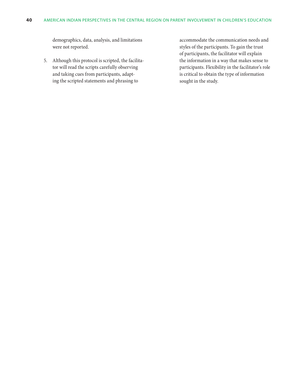demographics, data, analysis, and limitations were not reported.

5. Although this protocol is scripted, the facilitator will read the scripts carefully observing and taking cues from participants, adapting the scripted statements and phrasing to

accommodate the communication needs and styles of the participants. To gain the trust of participants, the facilitator will explain the information in a way that makes sense to participants. Flexibility in the facilitator's role is critical to obtain the type of information sought in the study.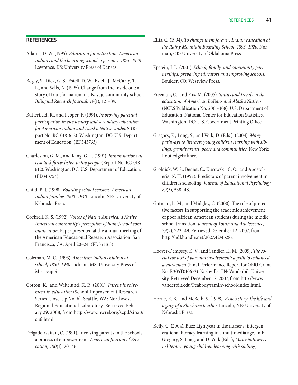## **References**

- Adams, D. W. (1995). *Education for extinction: American Indians and the boarding school experience 1875–1928*. Lawrence, KS: University Press of Kansas.
- Begay, S., Dick, G. S., Estell, D. W., Estell, J., McCarty, T. L., and Sells, A. (1995). Change from the inside out: a story of transformation in a Navajo community school. *Bilingual Research Journal, 19*(1), 121–39.
- Butterfield, R., and Pepper, F. (1991). *Improving parental participation in elementary and secondary education for American Indian and Alaska Native students* (Report No. RC-018-612). Washington, DC: U.S. Department of Education. (ED343763)
- Charleston, G. M., and King, G. L. (1991). *Indian nations at risk task force: listen to the people* (Report No. RC-018- 612). Washington, DC: U.S. Department of Education. (ED343754)
- Child, B. J. (1998). *Boarding school seasons: American Indian families 1900–1940*. Lincoln, NE: University of Nebraska Press.
- Cockrell, K. S. (1992). *Voices of Native America: a Native American community's perception of home/school communication*. Paper presented at the annual meeting of the American Educational Research Association, San Francisco, CA, April 20–24. (ED351163)
- Coleman, M. C. (1993). *American Indian children at school, 1850–1930*. Jackson, MS: University Press of Mississippi.
- Cotton, K., and Wikelund, K. R. (2001). *Parent involvement in education* (School Improvement Research Series Close-Up No. 6). Seattle, WA: Northwest Regional Educational Laboratory. Retrieved February 29, 2008, from http://www.nwrel.org/scpd/sirs/3/ cu6.html.
- Delgado-Gaitan, C. (1991). Involving parents in the schools: a process of empowerment. *American Journal of Education, 100*(1), 20–46.
- Ellis, C. (1994). *To change them forever: Indian education at the Rainy Mountain Boarding School, 1893–1920*. Norman, OK: University of Oklahoma Press.
- Epstein, J. L. (2001). *School, family, and community partnerships: preparing educators and improving schools*. Boulder, CO: Westview Press.
- Freeman, C., and Fox, M. (2005). *Status and trends in the education of American Indians and Alaska Natives* (NCES Publication No. 2005-108). U.S. Department of Education, National Center for Education Statistics. Washington, DC: U.S. Government Printing Office.
- Gregory, E., Long, S., and Volk, D. (Eds.). (2004). *Many pathways to literacy: young children learning with siblings, grandparents, peers and communities*. New York: RoutledgeFalmer.
- Grolnick, W. S., Benjet, C., Kurowski, C. O., and Apostoleris, N. H. (1997). Predictors of parent involvement in children's schooling. *Journal of Educational Psychology, 89*(3), 538–48.
- Gutman, L. M., and Midgley, C. (2000). The role of protective factors in supporting the academic achievement of poor African American students during the middle school transition. *Journal of Youth and Adolescence, 29*(2), 223–49. Retrieved December 12, 2007, from http://hdl.handle.net/2027.42/45287.
- Hoover-Dempsey, K. V., and Sandler, H. M. (2005). *The social context of parental involvement: a path to enhanced achievement* (Final Performance Report for OERI Grant No. R305T010673). Nashville, TN: Vanderbilt University. Retrieved December 12, 2007, from http://www. vanderbilt.edu/Peabody/family-school/index.html.
- Horne, E. B., and McBeth, S. (1998). *Essie's story: the life and legacy of a Shoshone teacher*. Lincoln, NE: University of Nebraska Press.
- Kelly, C. (2004). Buzz Lightyear in the nursery: intergenerational literacy learning in a multimedia age. In E. Gregory, S. Long, and D. Volk (Eds.), *Many pathways to literacy: young children learning with siblings,*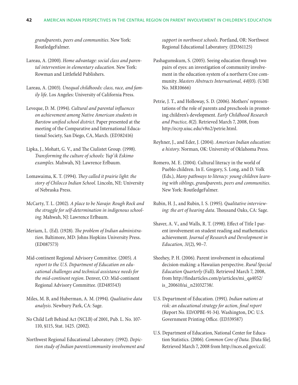*grandparents, peers and communities*. New York: RoutledgeFalmer.

Lareau, A. (2000). *Home advantage: social class and parental intervention in elementary education*. New York: Rowman and Littlefield Publishers.

Lareau, A. (2003). *Unequal childhoods: class, race, and family life*. Los Angeles: University of California Press.

Leveque, D. M. (1994). *Cultural and parental influences on achievement among Native American students in Barstow unified school district*. Paper presented at the meeting of the Comparative and International Educational Society, San Diego, CA, March. (ED382416)

Lipka, J., Mohatt, G. V., and The Ciulistet Group. (1998). *Transforming the culture of schools: Yup'ik Eskimo examples*. Mahwah, NJ: Lawrence Erlbaum.

Lomawaima, K. T. (1994). *They called it prairie light: the story of Chilocco Indian School*. Lincoln, NE: University of Nebraska Press.

McCarty, T. L. (2002). *A place to be Navajo: Rough Rock and the struggle for self-determination in indigenous schooling*. Mahwah, NJ: Lawrence Erlbaum.

Meriam, L. (Ed). (1928). *The problem of Indian administration*. Baltimore, MD: Johns Hopkins University Press. (ED087573)

Mid-continent Regional Advisory Committee. (2005). *A report to the U.S. Department of Education on educational challenges and technical assistance needs for the mid-continent region*. Denver, CO: Mid-continent Regional Advisory Committee. (ED485543)

Miles, M. B, and Huberman, A. M. (1994). *Qualitative data analysis*. Newbury Park, CA: Sage.

No Child Left Behind Act (NCLB) of 2001, Pub. L. No. 107- 110, §115, Stat. 1425. (2002).

Northwest Regional Educational Laboratory. (1992). *Depiction study of Indian parent/community involvement and*  *support in northwest schools*. Portland, OR: Northwest Regional Educational Laboratory. (ED361125)

Pashagumskum, S. (2005). Seeing education through two pairs of eyes: an investigation of community involvement in the education system of a northern Cree community. *Masters Abstracts International, 44*(03). (UMI No. MR10666)

Petrie, J. T., and Holloway, S. D. (2006). Mothers' representations of the role of parents and preschools in promoting children's development. *Early Childhood Research and Practice, 8*(2). Retrieved March 7, 2008, from http://ecrp.uiuc.edu/v8n2/petrie.html.

Reyhner, J., and Eder, J. (2004). *American Indian education: a history*. Norman, OK: University of Oklahoma Press.

Romero, M. E. (2004). Cultural literacy in the world of Pueblo children. In E. Gregory, S. Long, and D. Volk (Eds.), *Many pathways to literacy: young children learning with siblings, grandparents, peers and communities*. New York: RoutledgeFalmer.

Rubin, H. J., and Rubin, I. S. (1995). *Qualitative interviewing: the art of hearing data*. Thousand Oaks, CA: Sage.

Shaver, A. V., and Walls, R. T. (1998). Effect of Title I parent involvement on student reading and mathematics achievement. *Journal of Research and Development in Education, 31*(2), 90–7.

Sheehey, P. H. (2006). Parent involvement in educational decision-making: a Hawaiian perspective. *Rural Special Education Quarterly* (Fall). Retrieved March 7, 2008, from http://findarticles.com/p/articles/mi\_qa4052/ is\_200610/ai\_n21032738/.

- U.S. Department of Education. (1991). *Indian nations at risk: an educational strategy for action, final report*  (Report No. ED/OPBE-91-34). Washington, DC: U.S. Government Printing Office. (ED339587)
- U.S. Department of Education, National Center for Education Statistics. (2006). *Common Core of Data.* [Data file]. Retrieved March 7, 2008 from http://nces.ed.gov/ccd/.